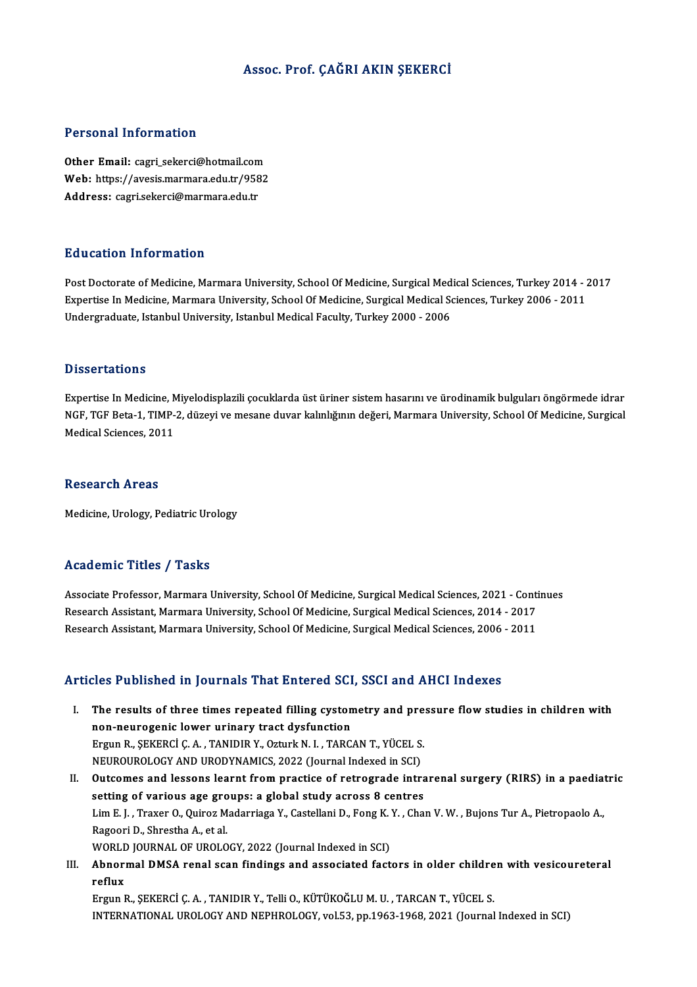### Assoc. Prof. ÇAĞRI AKIN ŞEKERCİ

### Personal Information

Personal Information<br>Other Email: cagr<u>i\_sekerci@hotmail.com</u><br>Web: https://avosis.marmara.edu.tr/9592 Web: https://avesis.marmara.edu.tr/9582<br>Address: cagri.sekerci@marmara.edu.tr Other Email: cagri\_sekerci@hotmail.com<br>Web: https://avesis.marmara.edu.tr/958<br>Address: cagri.sekerci@marmara.edu.tr

### Education Information

Post Doctorate of Medicine, Marmara University, School Of Medicine, Surgical Medical Sciences, Turkey 2014 - 2017 Eu d'ederen Timer inderen<br>Post Doctorate of Medicine, Marmara University, School Of Medicine, Surgical Medical Sciences, Turkey 2014 - 2<br>Expertise In Medicine, Marmara University, School Of Medicine, Surgical Medical Scien Post Doctorate of Medicine, Marmara University, School Of Medicine, Surgical Med<br>Expertise In Medicine, Marmara University, School Of Medicine, Surgical Medical S<br>Undergraduate, Istanbul University, Istanbul Medical Facult Undergraduate, Istanbul University, Istanbul Medical Faculty, Turkey 2000 - 2006<br>Dissertations

Expertise InMedicine,Miyelodisplazili çocuklarda üstüriner sistemhasarınıve ürodinamikbulgularıöngörmede idrar D'isser tatrens<br>Expertise In Medicine, Miyelodisplazili çocuklarda üst üriner sistem hasarını ve ürodinamik bulguları öngörmede idrar<br>NGF, TGF Beta-1, TIMP-2, düzeyi ve mesane duvar kalınlığının değeri, Marmara University, Expertise In Medicine, M<br>NGF, TGF Beta-1, TIMP-<br>Medical Sciences, 2011 Medical Sciences, 2011<br>Research Areas

Medicine, Urology, Pediatric Urology

### Academic Titles / Tasks

Academic Titles / Tasks<br>Associate Professor, Marmara University, School Of Medicine, Surgical Medical Sciences, 2021 - Continues<br>Research Assistant Marmara University, School Of Medicine, Surgical Medical Sciences, 2021 - Research Associate Professor, Marmara University, School Of Medicine, Surgical Medical Sciences, 2021 - Conti<br>Research Assistant, Marmara University, School Of Medicine, Surgical Medical Sciences, 2014 - 2017<br>Research Assi Associate Professor, Marmara University, School Of Medicine, Surgical Medical Sciences, 2021 - Conti<br>Research Assistant, Marmara University, School Of Medicine, Surgical Medical Sciences, 2014 - 2017<br>Research Assistant, Ma Research Assistant, Marmara University, School Of Medicine, Surgical Medical Sciences, 2006 - 2011<br>Articles Published in Journals That Entered SCI, SSCI and AHCI Indexes

- rticles Published in Journals That Entered SCI, SSCI and AHCI Indexes<br>I. The results of three times repeated filling cystometry and pressure flow studies in children with<br>The results of three times repeated dusfunction non-neurogenic lower urinary tract dilling cystom<br>non-neurogenic lower urinary tract dysfunction<br>Ergun B. SEKERCLC A. TANIDIR V. Ogturk N. L. TARC The results of three times repeated filling cystometry and pre<br>non-neurogenic lower urinary tract dysfunction<br>Ergun R., ŞEKERCİ Ç.A., TANIDIR Y., Ozturk N. I., TARCAN T., YÜCEL S.<br>NEUPOUPOLOCY AND UPODYNAMICS 2022 (Journal non-neurogenic lower urinary tract dysfunction<br>Ergun R., ŞEKERCİ Ç. A. , TANIDIR Y., Ozturk N. I. , TARCAN T., YÜCEL S.<br>NEUROUROLOGY AND URODYNAMICS, 2022 (Journal Indexed in SCI)<br>Outsomes and lossons loarnt from prastise Ergun R., ŞEKERCİ Ç. A. , TANIDIR Y., Ozturk N. I. , TARCAN T., YÜCEL S.<br>NEUROUROLOGY AND URODYNAMICS, 2022 (Journal Indexed in SCI)<br>II. Outcomes and lessons learnt from practice of retrograde intrarenal surgery (RIRS) in
- NEUROUROLOGY AND URODYNAMICS, 2022 (Journal Indexed in SCI)<br>Outcomes and lessons learnt from practice of retrograde intra<br>setting of various age groups: a global study across 8 centres<br>Lim E.L. Traver O. Quirez Mederriage Outcomes and lessons learnt from practice of retrograde intrarenal surgery (RIRS) in a paediation<br>setting of various age groups: a global study across 8 centres<br>Lim E. J. , Traxer O., Quiroz Madarriaga Y., Castellani D., F setting of various age gro<br>Lim E. J. , Traxer O., Quiroz M<br>Ragoori D., Shrestha A., et al.<br>WOPLD JOUPNAL OF UPOLO Lim E. J. , Traxer O., Quiroz Madarriaga Y., Castellani D., Fong K.<br>Ragoori D., Shrestha A., et al.<br>WORLD JOURNAL OF UROLOGY, 2022 (Journal Indexed in SCI)<br>Abnormal DMSA ranal seen findings and associated fast Ragoori D., Shrestha A., et al.<br>WORLD JOURNAL OF UROLOGY, 2022 (Journal Indexed in SCI)<br>III. Abnormal DMSA renal scan findings and associated factors in older children with vesicoureteral<br>refux
- WORL<mark><br>Abnor</mark><br>reflux<br>Ergun l Abnormal DMSA renal scan findings and associated factors in older childre<br>reflux<br>Ergun R., ŞEKERCİ Ç. A. , TANIDIR Y., Telli O., KÜTÜKOĞLU M. U. , TARCAN T., YÜCEL S.<br>INTERNATIONAL UROLOGY AND NEBUROLOGY vel 52. ap.1963-19

reflux<br>Ergun R., ŞEKERCİ Ç. A. , TANIDIR Y., Telli O., KÜTÜKOĞLU M. U. , TARCAN T., YÜCEL S.<br>INTERNATIONAL UROLOGY AND NEPHROLOGY, vol.53, pp.1963-1968, 2021 (Journal Indexed in SCI)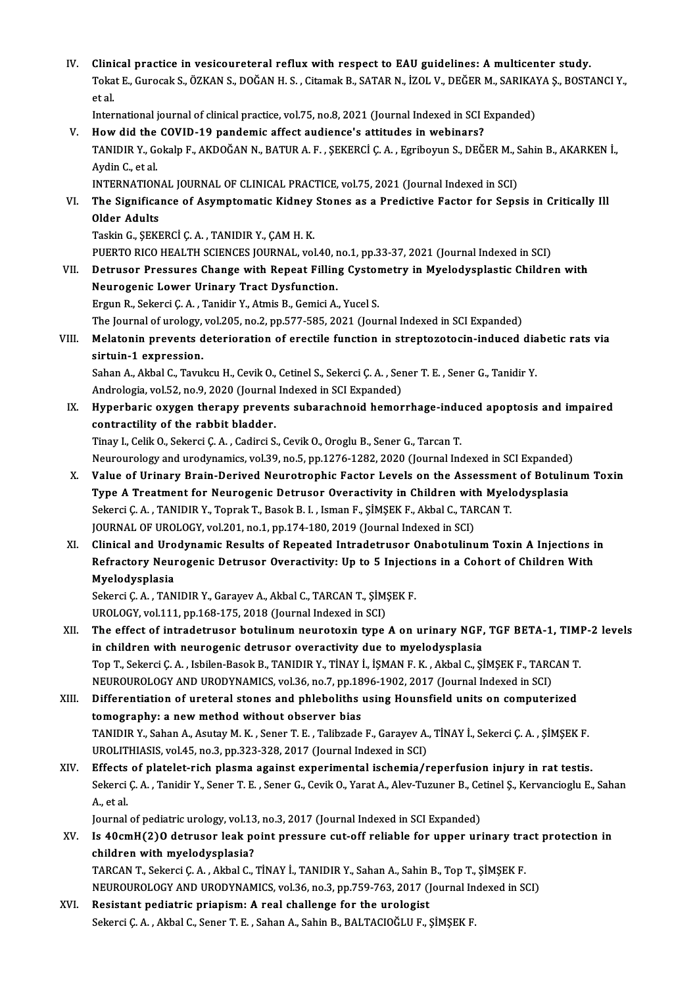IV. Clinical practice in vesicoureteral reflux with respect to EAU guidelines: A multicenter study.<br>Tekst E Curecek S. ÖZKAN S. DOČAN H.S. Citemek B. SATAR N. İZQL V. DEČER M. SARIKAVA S. POST. Clinical practice in vesicoureteral reflux with respect to EAU guidelines: A multicenter study.<br>Tokat E., Gurocak S., ÖZKAN S., DOĞAN H. S. , Citamak B., SATAR N., İZOL V., DEĞER M., SARIKAYA Ş., BOSTANCI Y Clini<br>Toka<br>et al. Tokat E., Gurocak S., ÖZKAN S., DOĞAN H. S. , Citamak B., SATAR N., İZOL V., DEĞER M., SARIKA'<br>et al.<br>International journal of clinical practice, vol.75, no.8, 2021 (Journal Indexed in SCI Expanded)<br>How did the COVID 19 pe

et al.<br>International journal of clinical practice, vol.75, no.8, 2021 (Journal Indexed in SCI Expanded)<br>V. How did the COVID-19 pandemic affect audience's attitudes in webinars?

International journal of clinical practice, vol.75, no.8, 2021 (Journal Indexed in SCI Expanded)<br>How did the COVID-19 pandemic affect audience's attitudes in webinars?<br>TANIDIR Y., Gokalp F., AKDOĞAN N., BATUR A. F. , ŞEKER How did the<br>TANIDIR Y., Go<br>Aydin C., et al.<br>INTERNATION TANIDIR Y., Gokalp F., AKDOĞAN N., BATUR A. F. , ŞEKERCİ Ç. A. , Egriboyun S., DEĞER M., S<br>Aydin C., et al.<br>INTERNATIONAL JOURNAL OF CLINICAL PRACTICE, vol.75, 2021 (Journal Indexed in SCI)<br>The Significance of Acumptomatic Aydin C., et al.<br>INTERNATIONAL JOURNAL OF CLINICAL PRACTICE, vol.75, 2021 (Journal Indexed in SCI)<br>VI. The Significance of Asymptomatic Kidney Stones as a Predictive Factor for Sepsis in Critically Il<br>Older Adulte

**INTERNATION<br>The Significa<br>Older Adults<br>Teckin C. SEKI** The Significance of Asymptomatic Kidney<br>Older Adults<br>Taskin G., ŞEKERCİ Ç. A. , TANIDIR Y., ÇAM H. K.<br>PUEPTO PICO HEALTH SCIENCES JOUPNAL .vol Older Adults<br>Taskin G., ŞEKERCİ Ç. A. , TANIDIR Y., ÇAM H. K.<br>PUERTO RICO HEALTH SCIENCES JOURNAL, vol.40, no.1, pp.33-37, 2021 (Journal Indexed in SCI)

Taskin G., ŞEKERCİ Ç. A. , TANIDIR Y., ÇAM H. K.<br>PUERTO RICO HEALTH SCIENCES JOURNAL, vol.40, no.1, pp.33-37, 2021 (Journal Indexed in SCI)<br>VII. Detrusor Pressures Change with Repeat Filling Cystometry in Myelodysplast Neurogenic Lower Urinary Tract Dysfunction.<br>Ergun R., Sekerci Ç. A., Tanidir Y., Atmis B., Gemici A., Yucel S. Detrusor Pressures Change with Repeat Filling Cystor<br>Neurogenic Lower Urinary Tract Dysfunction.<br>Ergun R., Sekerci Ç.A., Tanidir Y., Atmis B., Gemici A., Yucel S.<br>The Jeurnal of urolegy vel 205, no 2, np 577, 595, 2021 (Je

The Journal of urology, vol.205, no.2, pp.577-585, 2021 (Journal Indexed in SCI Expanded)

## Ergun R., Sekerci Ç. A. , Tanidir Y., Atmis B., Gemici A., Yucel S.<br>The Journal of urology, vol.205, no.2, pp.577-585, 2021 (Journal Indexed in SCI Expanded)<br>VIII. Melatonin prevents deterioration of erectile function in s The Journal of urology,<br>Melatonin prevents d<br>sirtuin-1 expression.<br>Saban A. Althal G. Tauru Melatonin prevents deterioration of erectile function in streptozotocin-induced dia<br>sirtuin-1 expression.<br>Sahan A., Akbal C., Tavukcu H., Cevik O., Cetinel S., Sekerci Ç. A. , Sener T. E. , Sener G., Tanidir Y.<br>Andrelagia sirtuin-1 expression.<br>Sahan A., Akbal C., Tavukcu H., Cevik O., Cetinel S., Sekerci Ç. A. , Sener T. E. , Sener G., Tanidir Y.

Andrologia, vol.52, no.9, 2020 (Journal Indexed in SCI Expanded)

IX. Hyperbaric oxygen therapy prevents subarachnoid hemorrhage-induced apoptosis and impaired

Tinay I., Celik O., Sekerci Ç. A., Cadirci S., Cevik O., Oroglu B., Sener G., Tarcan T. contractility of the rabbit bladder.<br>Tinay I., Celik O., Sekerci Ç. A. , Cadirci S., Cevik O., Oroglu B., Sener G., Tarcan T.<br>Neurourology and urodynamics, vol.39, no.5, pp.1276-1282, 2020 (Journal Indexed in SCI Expanded)

- X. Value of Urinary Brain-Derived Neurotrophic Factor Levels on the Assessment of BotulinumToxin Neurourology and urodynamics, vol.39, no.5, pp.1276-1282, 2020 (Journal Indexed in SCI Expanded)<br>Value of Urinary Brain-Derived Neurotrophic Factor Levels on the Assessment of Botulin<br>Type A Treatment for Neurogenic Detrus Value of Urinary Brain-Derived Neurotrophic Factor Levels on the Assessmen<br>Type A Treatment for Neurogenic Detrusor Overactivity in Children with Myel<br>Sekerci Ç. A. , TANIDIR Y., Toprak T., Basok B. I. , Isman F., ŞİMŞEK F Type A Treatment for Neurogenic Detrusor Overactivity in Children wit<br>Sekerci Ç. A. , TANIDIR Y., Toprak T., Basok B. I. , Isman F., ŞİMŞEK F., Akbal C., TAF<br>JOURNAL OF UROLOGY, vol.201, no.1, pp.174-180, 2019 (Journal Ind Sekerci Ç. A. , TANIDIR Y., Toprak T., Basok B. I. , Isman F., ŞİMŞEK F., Akbal C., TARCAN T.<br>JOURNAL OF UROLOGY, vol.201, no.1, pp.174-180, 2019 (Journal Indexed in SCI)<br>XI. Clinical and Urodynamic Results of Repeated Int
- JOURNAL OF UROLOGY, vol.201, no.1, pp.174-180, 2019 (Journal Indexed in SCI)<br>Clinical and Urodynamic Results of Repeated Intradetrusor Onabotulinum Toxin A Injections i<br>Refractory Neurogenic Detrusor Overactivity: Up to 5 Clinical and Uro<br>Refractory Neur<br>Myelodysplasia<br>Sekersi C.A. TAN Refractory Neurogenic Detrusor Overactivity: Up to 5 Injecti<br>Myelodysplasia<br>Sekerci Ç. A. , TANIDIR Y., Garayev A., Akbal C., TARCAN T., ŞİMŞEK F.<br>UPOLOCY vel 111 pp 168 175 2018 (Journal Indoved in SCD

Myelodysplasia<br>Sekerci Ç. A. , TANIDIR Y., Garayev A., Akbal C., TARCAN T., ŞİM!<br>UROLOGY, vol.111, pp.168-175, 2018 (Journal Indexed in SCI)<br>The effect of introdatrueor botulinum neurotevin tune

Sekerci Ç. A. , TANIDIR Y., Garayev A., Akbal C., TARCAN T., ŞİMŞEK F.<br>UROLOGY, vol.111, pp.168-175, 2018 (Journal Indexed in SCI)<br>XII. The effect of intradetrusor botulinum neurotoxin type A on urinary NGF, TGF BETA-1 UROLOGY, vol.111, pp.168-175, 2018 (Journal Indexed in SCI)<br>The effect of intradetrusor botulinum neurotoxin type A on urinary NGF,<br>in children with neurogenic detrusor overactivity due to myelodysplasia<br>Ten T. Sekarsi G.A The effect of intradetrusor botulinum neurotoxin type A on urinary NGF, TGF BETA-1, TIMI<br>in children with neurogenic detrusor overactivity due to myelodysplasia<br>Top T., Sekerci Ç.A. , Isbilen-Basok B., TANIDIR Y., TİNAY İ. in children with neurogenic detrusor overactivity due to myelodysplasia<br>Top T., Sekerci Ç. A. , Isbilen-Basok B., TANIDIR Y., TİNAY İ., İŞMAN F. K. , Akbal C., ŞİMŞEK F., TARC<br>NEUROUROLOGY AND URODYNAMICS, vol.36, no.7, pp Top T., Sekerci Ç. A. , Isbilen-Basok B., TANIDIR Y., TİNAY İ., İŞMAN F. K. , Akbal C., ŞİMŞEK F., TARCAN T.<br>NEUROUROLOGY AND URODYNAMICS, vol.36, no.7, pp.1896-1902, 2017 (Journal Indexed in SCI)<br>XIII. Differentiation of

NEUROUROLOGY AND URODYNAMICS, vol.36, no.7, pp.18<br>Differentiation of ureteral stones and phleboliths<br>tomography: a new method without observer bias<br>TANIDIB Y, Saban A, Asutay M, K, Sapar T, E, Talibrade Differentiation of ureteral stones and phleboliths using Hounsfield units on computerized<br>tomography: a new method without observer bias<br>TANIDIR Y., Sahan A., Asutay M. K. , Sener T. E. , Talibzade F., Garayev A., TİNAY İ. tomography: a new method without observer bias<br>TANIDIR Y., Sahan A., Asutay M. K. , Sener T. E. , Talibzade F., Garayev A., TİNAY İ., Sekerci Ç. A. , ŞİMŞEK F.<br>UROLITHIASIS, vol.45, no.3, pp.323-328, 2017 (Journal Indexed TANIDIR Y., Sahan A., Asutay M. K., Sener T. E., Talibzade F., Garayev A., TİNAY İ., Sekerci Ç. A., ŞİMŞEK F.<br>UROLITHIASIS, vol.45, no.3, pp.323-328, 2017 (Journal Indexed in SCI)<br>XIV. Effects of platelet-rich plasma again

UROLITHIASIS, vol.45, no.3, pp.323-328, 2017 (Journal Indexed in SCI)<br>Effects of platelet-rich plasma against experimental ischemia/reperfusion injury in rat testis.<br>Sekerci Ç. A. , Tanidir Y., Sener T. E. , Sener G., Cevi Effects<br>Sekerci<br>A., et al.<br>Journal Sekerci Ç. A. , Tanidir Y., Sener T. E. , Sener G., Cevik O., Yarat A., Alev-Tuzuner B., Ce<br>A., et al.<br>Journal of pediatric urology, vol.13, no.3, 2017 (Journal Indexed in SCI Expanded)<br>Is 40smH(2)O detrusor leak point pre

Journal of pediatric urology, vol.13, no.3, 2017 (Journal Indexed in SCI Expanded)

# A., et al.<br>Journal of pediatric urology, vol.13, no.3, 2017 (Journal Indexed in SCI Expanded)<br>XV. Is 40cmH(2)O detrusor leak point pressure cut-off reliable for upper urinary tract protection in<br>children with myelodysplasi Is 40cmH(2)O detrusor leak point pressure cut-off reliable for upper urinary tra<br>children with myelodysplasia?<br>TARCAN T., Sekerci Ç.A. , Akbal C., TİNAY İ., TANIDIR Y., Sahan A., Sahin B., Top T., ŞİMŞEK F.<br>NEUPOUROLOGY AN

children with myelodysplasia?<br>TARCAN T., Sekerci Ç. A. , Akbal C., TİNAY İ., TANIDIR Y., Sahan A., Sahin B., Top T., ŞİMŞEK F.<br>NEUROUROLOGY AND URODYNAMICS, vol.36, no.3, pp.759-763, 2017 (Journal Indexed in SCI)<br>Besistant

TARCAN T., Sekerci Ç. A., Akbal C., TİNAY İ., TANIDIR Y., Sahan A., Sahin<br>NEUROUROLOGY AND URODYNAMICS, vol.36, no.3, pp.759-763, 2017 (J<br>XVI. Resistant pediatric priapism: A real challenge for the urologist NEUROUROLOGY AND URODYNAMICS, vol.36, no.3, pp.759-763, 2017 (Journal Indexed in SCI)<br>Resistant pediatric priapism: A real challenge for the urologist<br>Sekerci Ç.A. , Akbal C., Sener T. E. , Sahan A., Sahin B., BALTACIOĞLU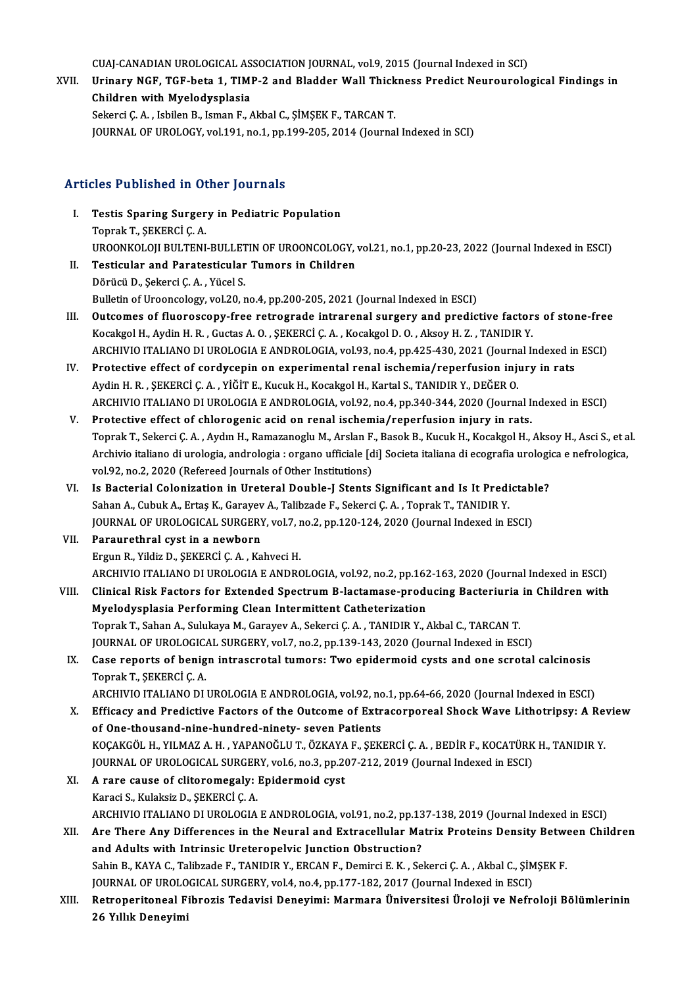CUAJ-CANADIAN UROLOGICAL ASSOCIATION JOURNAL, vol.9, 2015 (Journal Indexed in SCI)<br>Uninouy NGE, TGE hata 1, TIMB 2 and Pladder Wall Thiskness Bradist Nourourals

XVII. Urinary NGF, TGF-beta 1, TIMP-2 and Bladder Wall Thickness Predict Neurourological Findings in<br>Children with Myelodysplasia CUAJ-CANADIAN UROLOGICAL AS<br>Urinary NGF, TGF-beta 1, TIMI<br>Children with Myelodysplasia<br>Sekarai C.A. Jabilan B. Jaman E. Sekerci Ç.A., Isbilen B., Isman F., Akbal C., ŞİMŞEK F., TARCAN T.

JOURNAL OF UROLOGY, vol.191, no.1, pp.199-205, 2014 (Journal Indexed in SCI)

### Articles Published in Other Journals

- rticles Published in Other Journals<br>I. Testis Sparing Surgery in Pediatric Population<br>Tonrak T. SEKERCLC A Toprak T., ŞEKERCİ Ç. A.<br>Testis Sparing Surger<br>Toprak T., ŞEKERCİ Ç. A. Toprak T., ŞEKERCİ Ç. A.<br>UROONKOLOJI BULTENI-BULLETIN OF UROONCOLOGY, vol.21, no.1, pp.20-23, 2022 (Journal Indexed in ESCI) II. Testicular and Paratesticular Tumors in Children
- DörücüD.,ŞekerciÇ.A. ,YücelS. Bulletin of Urooncology, vol.20, no.4, pp.200-205, 2021 (Journal Indexed in ESCI)
- III. Outcomes of fluoroscopy-free retrograde intrarenal surgery and predictive factors of stone-free Kocakgol H., Aydin H.R., Guctas A.O., ŞEKERCİ Ç.A., Kocakgol D.O., Aksoy H.Z., TANIDIR Y. Outcomes of fluoroscopy-free retrograde intrarenal surgery and predictive factors of stone-free<br>Kocakgol H., Aydin H. R. , Guctas A. O. , ŞEKERCİ Ç. A. , Kocakgol D. O. , Aksoy H. Z. , TANIDIR Y.<br>ARCHIVIO ITALIANO DI UROLO Kocakgol H., Aydin H. R., Guctas A. O., ŞEKERCİ Ç. A., Kocakgol D. O., Aksoy H. Z., TANIDIR Y.<br>ARCHIVIO ITALIANO DI UROLOGIA E ANDROLOGIA, vol.93, no.4, pp.425-430, 2021 (Journal Indexed in<br>IV. Protective effect of cordyce
- ARCHIVIO ITALIANO DI UROLOGIA E ANDROLOGIA, vol.93, no.4, pp.425-430, 2021 (Journal)<br>Protective effect of cordycepin on experimental renal ischemia/reperfusion inju<br>Aydin H. R. , ŞEKERCİ Ç. A. , YİĞİT E., Kucuk H., Kocakgo IV. Protective effect of cordycepin on experimental renal ischemia/reperfusion injury in rats<br>Aydin H. R., ŞEKERCİ Ç. A., YİĞİT E., Kucuk H., Kocakgol H., Kartal S., TANIDIR Y., DEĞER O.<br>ARCHIVIO ITALIANO DI UROLOGIA E AND
- V. Protective effect of chlorogenic acid on renal ischemia/reperfusion injury in rats. Toprak T., Sekerci Ç.A., Aydın H., Ramazanoglu M., Arslan F., Basok B., Kucuk H., Kocakgol H., Aksoy H., Asci S., et al. Protective effect of chlorogenic acid on renal ischemia/reperfusion injury in rats.<br>Toprak T., Sekerci Ç. A. , Aydın H., Ramazanoglu M., Arslan F., Basok B., Kucuk H., Kocakgol H., Aksoy H., Asci S., et a<br>Archivio italiano Toprak T., Sekerci Ç. A. , Aydın H., Ramazanoglu M., Arslan F.<br>Archivio italiano di urologia, andrologia : organo ufficiale [d<br>vol.92, no.2, 2020 (Refereed Journals of Other Institutions)<br>Is Bosterial Colonization in Urote Archivio italiano di urologia, andrologia : organo ufficiale [di] Societa italiana di ecografia urologi<br>vol.92, no.2, 2020 (Refereed Journals of Other Institutions)<br>VI. Is Bacterial Colonization in Ureteral Double-J Stents
- vol.92, no.2, 2020 (Refereed Journals of Other Institutions)<br>Is Bacterial Colonization in Ureteral Double-J Stents Significant and Is It Predi<br>Sahan A., Cubuk A., Ertaş K., Garayev A., Talibzade F., Sekerci Ç. A. , Toprak Is Bacterial Colonization in Ureteral Double-J Stents Significant and Is It Predictab!<br>Sahan A., Cubuk A., Ertaş K., Garayev A., Talibzade F., Sekerci Ç. A. , Toprak T., TANIDIR Y.<br>JOURNAL OF UROLOGICAL SURGERY, vol.7, no. Sahan A., Cubuk A., Ertaş K., Garayev A., Talibzade F., Sekerci Ç. A. , Toprak T., TANIDIR Y.<br>JOURNAL OF UROLOGICAL SURGERY, vol.7, no.2, pp.120-124, 2020 (Journal Indexed in ESCI)<br>VII. Paraurethral cyst in a newborn

ErgunR.,YildizD.,ŞEKERCİÇ.A. ,KahveciH. Paraurethral cyst in a newborn<br>Ergun R., Yildiz D., ŞEKERCİ Ç. A. , Kahveci H.<br>ARCHIVIO ITALIANO DI UROLOGIA E ANDROLOGIA, vol.92, no.2, pp.162-163, 2020 (Journal Indexed in ESCI)<br>Clinical Biak Factors for Eutended Spectru

- Ergun R., Yildiz D., ŞEKERCİ Ç. A. , Kahveci H.<br>ARCHIVIO ITALIANO DI UROLOGIA E ANDROLOGIA, vol.92, no.2, pp.162-163, 2020 (Journal Indexed in ESCI)<br>VIII. Clinical Risk Factors for Extended Spectrum B-lactamase-produci ARCHIVIO ITALIANO DI UROLOGIA E ANDROLOGIA, vol.92, no.2, pp.162<br>Clinical Risk Factors for Extended Spectrum B-lactamase-produ<br>Myelodysplasia Performing Clean Intermittent Catheterization<br>Tennel: T. Schan A. Sululrave M. C Clinical Risk Factors for Extended Spectrum B-lactamase-producing Bacteriuria<br>Myelodysplasia Performing Clean Intermittent Catheterization<br>Toprak T., Sahan A., Sulukaya M., Garayev A., Sekerci Ç. A. , TANIDIR Y., Akbal C., Myelodysplasia Performing Clean Intermittent Catheterization<br>Toprak T., Sahan A., Sulukaya M., Garayev A., Sekerci Ç. A. , TANIDIR Y., Akbal C., TARCAN T.<br>JOURNAL OF UROLOGICAL SURGERY, vol.7, no.2, pp.139-143, 2020 (Journ Toprak T., Sahan A., Sulukaya M., Garayev A., Sekerci Ç. A. , TANIDIR Y., Akbal C., TARCAN T.<br>JOURNAL OF UROLOGICAL SURGERY, vol.7, no.2, pp.139-143, 2020 (Journal Indexed in ESCI)<br>IX. Case reports of benign intrascrotal t
- JOURNAL OF UROLOGIC<mark>.</mark><br>Case reports of benig<br>Toprak T., ŞEKERCİ Ç. A.<br>ARCHIVIO ITALIANO DI Case reports of benign intrascrotal tumors: Two epidermoid cysts and one scrotal calcinosis<br>Toprak T., ŞEKERCİ Ç. A.<br>ARCHIVIO ITALIANO DI UROLOGIA E ANDROLOGIA, vol.92, no.1, pp.64-66, 2020 (Journal Indexed in ESCI)<br>Effica

Toprak T., ŞEKERCİ Ç. A.<br>ARCHIVIO ITALIANO DI UROLOGIA E ANDROLOGIA, vol.92, no.1, pp.64-66, 2020 (Journal Indexed in ESCI)<br>X. Efficacy and Predictive Factors of the Outcome of Extracorporeal Shock Wave Lithotripsy: A Revi ARCHIVIO ITALIANO DI UROLOGIA E ANDROLOGIA, vol.92, no<br>Efficacy and Predictive Factors of the Outcome of Extr<br>of One-thousand-nine-hundred-ninety- seven Patients<br>YOCAYCÖL H. VILMAZ A H. YARANOČLUT, ÖZYAYA E. SEV Efficacy and Predictive Factors of the Outcome of Extracorporeal Shock Wave Lithotripsy: A Revert Conference of One-thousand-nine-hundred-ninety- seven Patients<br>KOÇAKGÖL H., YILMAZ A. H. , YAPANOĞLU T., ÖZKAYA F., ŞEKERCİ of One-thousand-nine-hundred-ninety- seven Patients<br>KOÇAKGÖL H., YILMAZ A. H. , YAPANOĞLU T., ÖZKAYA F., ŞEKERCİ Ç. A. , BEDİR F., KOCATÜRK<br>JOURNAL OF UROLOGICAL SURGERY, vol.6, no.3, pp.207-212, 2019 (Journal Indexed in E

- 
- KOÇAKGÖL H., YILMAZ A. H., YAPANOĞLU T., ÖZKAYA<br>JOURNAL OF UROLOGICAL SURGERY, vol.6, no.3, pp.20<br>XI. A rare cause of clitoromegaly: Epidermoid cyst<br>Kanadi S. Kulaksin D. SEKERGİ C. A JOURNAL OF UROLOGICAL SURGERY, vol.6, no.3, pp.207-212, 2019 (Journal Indexed in ESCI)<br>XI. A rare cause of clitoromegaly: Epidermoid cyst<br>Karaci S., Kulaksiz D., ŞEKERCİ Ç. A. A rare cause of clitoromegaly: Epidermoid cyst<br>Karaci S., Kulaksiz D., ŞEKERCİ Ç. A.<br>ARCHIVIO ITALIANO DI UROLOGIA E ANDROLOGIA, vol.91, no.2, pp.137-138, 2019 (Journal Indexed in ESCI)<br>Are There Any Differences in the Nou Karaci S., Kulaksiz D., ŞEKERCİ Ç. A.<br>ARCHIVIO ITALIANO DI UROLOGIA E ANDROLOGIA, vol.91, no.2, pp.137-138, 2019 (Journal Indexed in ESCI)<br>XII. Are There Any Differences in the Neural and Extracellular Matrix Proteins
- ARCHIVIO ITALIANO DI UROLOGIA E ANDROLOGIA, vol.91, no.2, pp.13<br>Are There Any Differences in the Neural and Extracellular Ma<br>and Adults with Intrinsic Ureteropelvic Junction Obstruction?<br>Sabin B, KAYA G, Talibrade E, TANID Are There Any Differences in the Neural and Extracellular Matrix Proteins Density Between Children<br>and Adults with Intrinsic Ureteropelvic Junction Obstruction?<br>Sahin B., KAYA C., Talibzade F., TANIDIR Y., ERCAN F., Demirc and Adults with Intrinsic Ureteropelvic Junction Obstruction?<br>Sahin B., KAYA C., Talibzade F., TANIDIR Y., ERCAN F., Demirci E. K. , Sekerci Ç. A. , Akbal C., ŞİM<br>JOURNAL OF UROLOGICAL SURGERY, vol.4, no.4, pp.177-182, 201
- XIII. Retroperitoneal Fibrozis Tedavisi Deneyimi: Marmara Üniversitesi Üroloji ve Nefroloji Bölümlerinin<br>26 Yıllık Deneyimi JOURNAL OF UROLO<br>Retroperitoneal F<br>26 Yıllık Deneyimi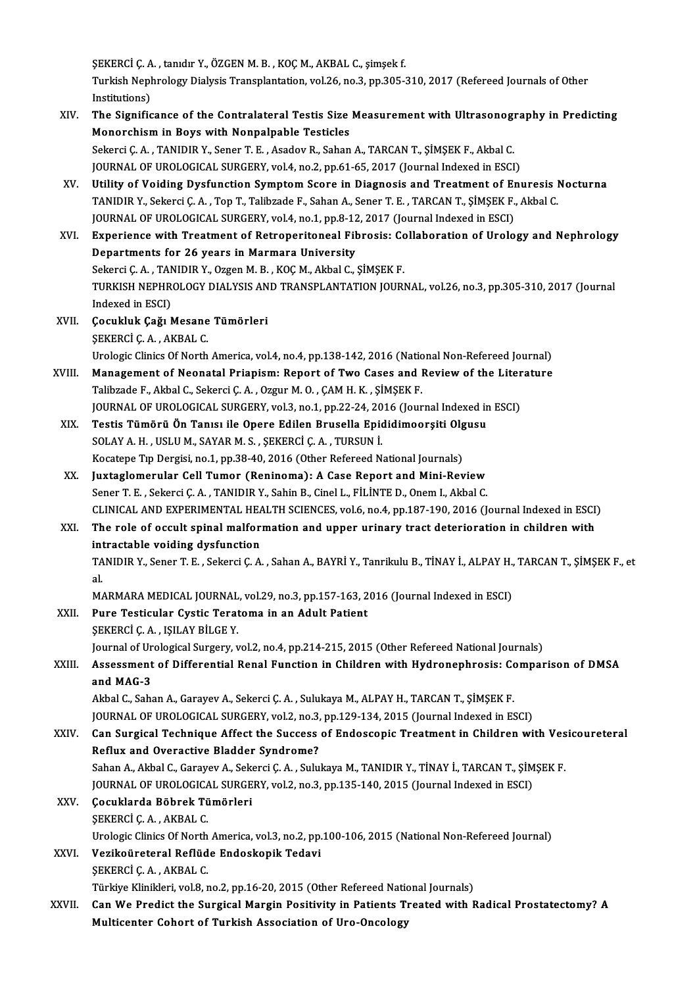ŞEKERCİ Ç. A. , tanıdır Y., ÖZGEN M. B. , KOÇ M., AKBAL C., şimşek f.<br>Turkich Nephrelegy Dielysis Transplantation, yel 26, no. 3, np. 305. ŞEKERCİ Ç. A. , tanıdır Y., ÖZGEN M. B. , KOÇ M., AKBAL C., şimşek f.<br>Turkish Nephrology Dialysis Transplantation, vol.26, no.3, pp.305-310, 2017 (Refereed Journals of Other SEKERCI Ç. A<br>Turkish Nepl<br>Institutions)<br>The Signific Turkish Nephrology Dialysis Transplantation, vol.26, no.3, pp.305-310, 2017 (Refereed Journals of Other<br>Institutions)<br>XIV. The Significance of the Contralateral Testis Size Measurement with Ultrasonography in Predicting<br>Me

Institutions)<br>The Significance of the Contralateral Testis Size Measurement with Ultrasonography in Predicting<br>Monorchism in Boys with Nonpalpable Testicles The Significance of the Contralateral Testis Size Measurement with Ultrasonogi<br>Monorchism in Boys with Nonpalpable Testicles<br>Sekerci Ç.A. , TANIDIR Y., Sener T. E. , Asadov R., Sahan A., TARCAN T., ŞİMŞEK F., Akbal C.<br>JOUP Monorchism in Boys with Nonpalpable Testicles<br>Sekerci Ç. A. , TANIDIR Y., Sener T. E. , Asadov R., Sahan A., TARCAN T., ŞİMŞEK F., Akbal C.<br>JOURNAL OF UROLOGICAL SURGERY, vol.4, no.2, pp.61-65, 2017 (Journal Indexed in ESC JOURNAL OF UROLOGICAL SURGERY, vol.4, no.2, pp.61-65, 2017 (Journal Indexed in ESCI)<br>XV. Utility of Voiding Dysfunction Symptom Score in Diagnosis and Treatment of Enuresis Nocturna TANIDIR Y., Sekerci C.A. , Top T., Talibzade F., Sahan A., Sener T. E. , TARCAN T., SİMSEK F., Akbal C. Utility of Voiding Dysfunction Symptom Score in Diagnosis and Treatment of Enterprise TANIDIR Y., Sekerci Ç. A. , Top T., Talibzade F., Sahan A., Sener T. E. , TARCAN T., ŞİMŞEK F., JOURNAL OF UROLOGICAL SURGERY, vol.4, no TANIDIR Y., Sekerci Ç. A. , Top T., Talibzade F., Sahan A., Sener T. E. , TARCAN T., ŞİMŞEK F., Akbal C.<br>JOURNAL OF UROLOGICAL SURGERY, vol.4, no.1, pp.8-12, 2017 (Journal Indexed in ESCI)<br>XVI. Experience with Treatment of JOURNAL OF UROLOGICAL SURGERY, vol.4, no.1, pp.8-12<br>Experience with Treatment of Retroperitoneal Fil<br>Departments for 26 years in Marmara University<br>Sekarsi C.A., TANIDIP Y. Organ M.B., KOC M. Akhal C. Experience with Treatment of Retroperitoneal Fibrosis: Co<br>Departments for 26 years in Marmara University<br>Sekerci Ç.A. , TANIDIR Y., Ozgen M. B. , KOÇ M., Akbal C., ŞİMŞEK F.<br>TURKISH NERHROLOCY DIALYSIS AND TRANSPLANTATION Departments for 26 years in Marmara University<br>Sekerci Ç. A. , TANIDIR Y., Ozgen M. B. , KOÇ M., Akbal C., ŞİMŞEK F.<br>TURKISH NEPHROLOGY DIALYSIS AND TRANSPLANTATION JOURNAL, vol.26, no.3, pp.305-310, 2017 (Journal<br>Indeved Sekerci Ç. A. , TAN<br>TURKISH NEPHR<br>Indexed in ESCI)<br>Cosukluk Coğul TURKISH NEPHROLOGY DIALYSIS AN<br>Indexed in ESCI)<br>XVII. Cocukluk Çağı Mesane Tümörleri<br>SEKERCİ CA AKRAL C Indexed in ESCI)<br>Çocukluk Çağı Mesane<br>ŞEKERCİ Ç. A. , AKBAL C.<br>Uralasis Cliniss Of Narth \$EKERCİ Ç. A. , AKBAL C.<br>Urologic Clinics Of North America, vol.4, no.4, pp.138-142, 2016 (National Non-Refereed Journal) SEKERCI C. A., AKBAL C.<br>Urologic Clinics Of North America, vol.4, no.4, pp.138-142, 2016 (National Non-Refereed Journal)<br>XVIII. Management of Neonatal Priapism: Report of Two Cases and Review of the Literature<br>Talihuade E. Urologic Clinics Of North America, vol.4, no.4, pp.138-142, 2016 (National Management of Neonatal Priapism: Report of Two Cases and I<br>Talibzade F., Akbal C., Sekerci Ç. A. , Ozgur M. O. , ÇAM H. K. , ŞİMŞEK F.<br>JOUPMAL OF U Management of Neonatal Priapism: Report of Two Cases and Review of the Liter<br>Talibzade F., Akbal C., Sekerci Ç. A. , Ozgur M. O. , ÇAM H. K. , ŞİMŞEK F.<br>JOURNAL OF UROLOGICAL SURGERY, vol.3, no.1, pp.22-24, 2016 (Journal I Talibzade F., Akbal C., Sekerci Ç. A. , Ozgur M. O. , ÇAM H. K. , ŞİMŞEK F.<br>JOURNAL OF UROLOGICAL SURGERY, vol.3, no.1, pp.22-24, 2016 (Journal Indexed in ESCI)<br>XIX. Testis Tümörü Ön Tanısı ile Opere Edilen Brusella Ep SOLAY A.H., USLU M., SAYARM.S., ŞEKERCİÇ.A., TURSUNİ. Kocatepe Tip Dergisi, no.1, pp.38-40, 2016 (Other Refereed National Journals) XX. Juxtaglomerular Cel Tumor (Reninoma): A Case Report and Mini-Review Sener T. E., Sekerci Ç. A., TANIDIR Y., Sahin B., Cinel L., FİLİNTE D., Onem I., Akbal C. CLINICAL AND EXPERIMENTAL HEALTH SCIENCES, vol.6, no.4, pp.187-190, 2016 (Journal Indexed in ESCI) XXI. The role of occult spinal malformation and upper urinary tract deterioration in children with intractable voiding dysfunction TANIDIR Y., Sener T. E. , Sekerci Ç. A. , Sahan A., BAYRİ Y., Tanrikulu B., TİNAY İ., ALPAY H., TARCAN T., ŞİMŞEK F., et<br>al. int<br>TA<br>al MARMARA MEDICAL JOURNAL, vol.29, no.3, pp.157-163, 2016 (Journal Indexed in ESCI) al.<br>MARMARA MEDICAL JOURNAL, vol.29, no.3, pp.157-163, 2<br>XXII. Pure Testicular Cystic Teratoma in an Adult Patient<br>SEKERCLC A ISU AV RU CE V MARMARA MEDICAL JOURNAL<br>Pure Testicular Cystic Terat<br>ŞEKERCİ Ç. A. , IŞILAY BİLGE Y.<br>Journal of Unalagiaal Sunganu y Pure Testicular Cystic Teratoma in an Adult Patient<br>ŞEKERCİ Ç. A. , IŞILAY BİLGE Y.<br>Journal of Urological Surgery, vol.2, no.4, pp.214-215, 2015 (Other Refereed National Journals)<br>Assessment of Differential Bonal Eunstien SEKERCİ Ç. A. , IŞILAY BİLGE Y.<br>Journal of Urological Surgery, vol.2, no.4, pp.214-215, 2015 (Other Refereed National Journals)<br>XXIII. Assessment of Differential Renal Function in Children with Hydronephrosis: Comparis Journal of Ur<br>Assessment<br>and MAG-3<br>Akhal C. Saha Assessment of Differential Renal Function in Children with Hydronephrosis: Co<br>and MAG-3<br>Akbal C., Sahan A., Garayev A., Sekerci Ç. A. , Sulukaya M., ALPAY H., TARCAN T., ŞİMŞEK F.<br>JOUPMAL OF UPOLOCICAL SUPCERY vol 2, no 3, and MAG-3<br>Akbal C., Sahan A., Garayev A., Sekerci Ç. A. , Sulukaya M., ALPAY H., TARCAN T., ŞİMŞEK F.<br>JOURNAL OF UROLOGICAL SURGERY, vol.2, no.3, pp.129-134, 2015 (Journal Indexed in ESCI)<br>Can Surgical Tashnique Affect the JOURNAL OF UROLOGICAL SURGERY, vol.2, no.3, pp.129-134, 2015 (Journal Indexed in ESCI)<br>XXIV. Can Surgical Technique Affect the Success of Endoscopic Treatment in Children with Vesicoureteral Reflux and Overactive Bladder Syndrome? Can Surgical Technique Affect the Success of Endoscopic Treatment in Children with Ves<br>Reflux and Overactive Bladder Syndrome?<br>Sahan A., Akbal C., Garayev A., Sekerci Ç. A. , Sulukaya M., TANIDIR Y., TİNAY İ., TARCAN T., Ş Reflux and Overactive Bladder Syndrome?<br>Sahan A., Akbal C., Garayev A., Sekerci Ç. A. , Sulukaya M., TANIDIR Y., TİNAY İ., TARCAN T., ŞİM<br>JOURNAL OF UROLOGICAL SURGERY, vol.2, no.3, pp.135-140, 2015 (Journal Indexed in ESC XXV. Çocuklarda Böbrek Tümörleri JOURNAL OF UROLOGICAL SURGERY, vol.2, no.3, pp.135-140, 2015 (Journal Indexed in ESCI) Urologic Clinics Of North America, vol.3, no.2, pp.100-106, 2015 (National Non-Refereed Journal) XXVI. Vezikoüreteral Reflüde Endoskopik Tedavi ŞEKERCİÇ.A. ,AKBAL C. Türkiye Klinikleri, vol.8, no.2, pp.16-20, 2015 (Other Refereed National Journals) \$EKERCİ Ç. A. , AKBAL C.<br>Türkiye Klinikleri, vol.8, no.2, pp.16-20, 2015 (Other Refereed National Journals)<br>XXVII. Can We Predict the Surgical Margin Positivity in Patients Treated with Radical Prostatectomy? A<br>Multice Türkiye Klinikleri, vol.8, no.2, pp.16-20, 2015 (Other Refereed Natio<br>Can We Predict the Surgical Margin Positivity in Patients T1<br>Multicenter Cohort of Turkish Association of Uro-Oncology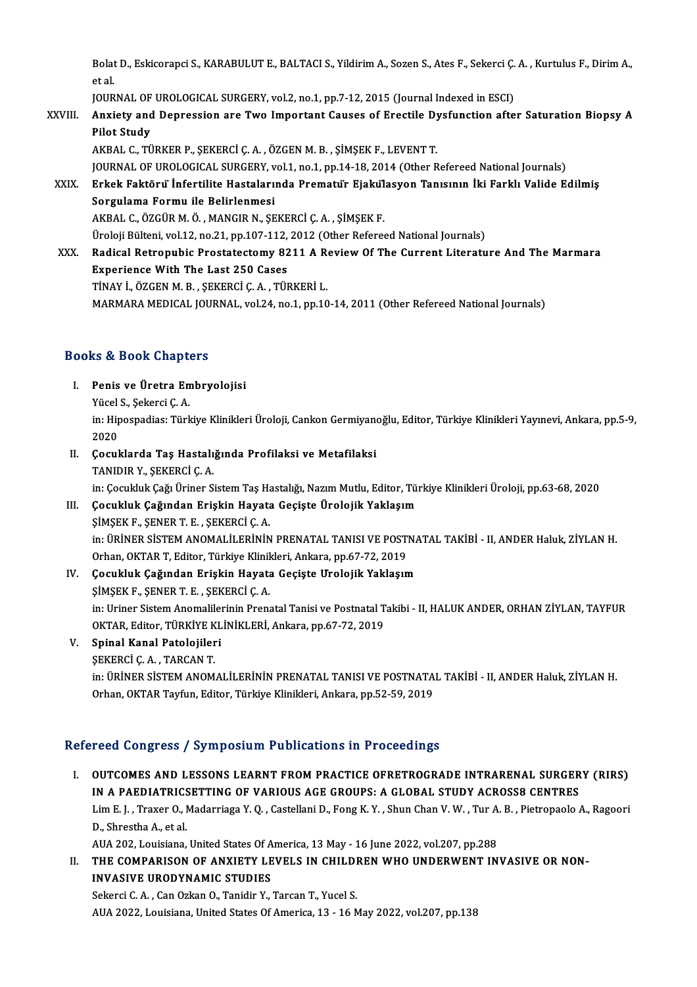Bolat D., Eskicorapci S., KARABULUT E., BALTACI S., Yildirim A., Sozen S., Ates F., Sekerci Ç. A. , Kurtulus F., Dirim A.,<br>et el ا<br>Bolat<br>EQUP Bolat D., Eskicorapci S., KARABULUT E., BALTACI S., Yildirim A., Sozen S., Ates F., Sekerci Ç.<br>et al.<br>JOURNAL OF UROLOGICAL SURGERY, vol.2, no.1, pp.7-12, 2015 (Journal Indexed in ESCI)<br>Anviety and Dennessian are Tuye Impe

JOURNAL OF UROLOGICAL SURGERY, vol.2, no.1, pp.7-12, 2015 (Journal Indexed in ESCI)

# et al.<br>JOURNAL OF UROLOGICAL SURGERY, vol.2, no.1, pp.7-12, 2015 (Journal Indexed in ESCI)<br>XXVIII. Anxiety and Depression are Two Important Causes of Erectile Dysfunction after Saturation Biopsy A<br>Pilot Study Pilot Study<br>AKBAL C., TÜRKER P., ŞEKERCİ Ç. A. , ÖZGEN M. B. , ŞİMŞEK F., LEVENT T.<br>JOURNAL OF UROLOGICAL SURGERY, vol.1, no.1, pp.14-18, 2014 (Other Refereed National Journals)<br>Erkek Faktöry: İnfortilite Hestalarında Bram

AKBAL C.,TÜRKERP.,ŞEKERCİÇ.A. ,ÖZGENM.B. ,ŞİMŞEKF.,LEVENTT.

XXIX. Erkek Faktörüİnfertilite Hastalarında Prematür Ejakülasyon Tanısının İki Farklı Valide Edilmiş JOURNAL OF UROLOGICAL SURGERY, v<br>Erkek Faktöru İnfertilite Hastaları<br>Sorgulama Formu ile Belirlenmesi<br>AKRAL G. ÖZCÜR M. Ö. MANCIR N. SE Sorgulama Formu ile Belirlenmesi<br>AKBAL C., ÖZGÜR M. Ö. , MANGIR N., ŞEKERCİ Ç. A. , ŞİMŞEK F.<br>Üroloji Bülteni, vol.12, no.21, pp.107-112, 2012 (Other Refereed National Journals)<br>Badisal Betronubis Brestatestomu 9211 A Bovi

AKBAL C.,ÖZGÜRM.Ö. ,MANGIRN.,ŞEKERCİÇ.A. ,ŞİMŞEKF.

XXX. Radical Retropubic Prostatectomy 8211 A Review Of The Current Literature And The Marmara<br>Experience With The Last 250 Cases Üroloji Bülteni, vol.12, no.21, pp.107-112,<br>Radical Retropubic Prostatectomy 82<br>Experience With The Last 250 Cases<br>TinAV LÖZCEN M. B. SEVERCLC A. TÜL

TİNAYİ.,ÖZGENM.B. ,ŞEKERCİÇ.A. ,TÜRKERİL.

MARMARA MEDICAL JOURNAL, vol.24, no.1, pp.10-14, 2011 (Other Refereed National Journals)

### Books&Book Chapters

- ooks & Book Chapters<br>I. Penis ve Üretra Embryolojisi<br>Vücel S. Sekersi C. A Yücel S., Şekerci Ç.A.<br>Yücel S., Şekerci Ç.A.<br>Yücel S., Şekerci Ç.A.
	- Yücel S, Şekerci Ç. A.

in: Hipospadias: Türkiye Klinikleri Üroloji, Cankon Germiyanoğlu, Editor, Türkiye Klinikleri Yayınevi, Ankara, pp.5-9,<br>2020 in: Hipospadias: Türkiye Klinikleri Üroloji, Cankon Germiyano<br>2020<br>II. Cocuklarda Taş Hastalığında Profilaksi ve Metafilaksi<br>TANIDIR V. SEKERCİ C.A

2020<br>**Çocuklarda Taş Hastalı**<br>TANIDIR Y., ŞEKERCİ Ç. A.<br>in: Cosukluk Cağ Ürinar S. Çocuklarda Taş Hastalığında Profilaksi ve Metafilaksi<br>TANIDIR Y., ŞEKERCİ Ç. A.<br>in: Çocukluk Çağı Üriner Sistem Taş Hastalığı, Nazım Mutlu, Editor, Türkiye Klinikleri Üroloji, pp.63-68, 2020<br>Çosukluk Çağından Eniakin Hayat

# TANIDIR Y., ŞEKERCİ Ç. A.<br>in: Çocukluk Çağı Üriner Sistem Taş Hastalığı, Nazım Mutlu, Editor, Tü<br>III. Çocukluk Çağından Erişkin Hayata Geçişte Ürolojik Yaklaşım<br>SİMSEK F., SENER T. E. , SEKERCİ C. A.

in: Çocukluk Çağı Üriner Sistem Taş Ha<br>**Çocukluk Çağından Erişkin Hayata**<br>ŞİMŞEK F., ŞENER T. E. , ŞEKERCİ Ç. A.<br>in: ÜRİNER SİSTEM ANOMAL İLERİNİN in: ÜRİNER SİSTEM ANOMALİLERİNİN PRENATAL TANISI VE POSTNATAL TAKİBİ - II, ANDER Haluk, ZİYLAN H. ŞİMŞEK F., ŞENER T. E. , ŞEKERCİ Ç. A.<br>in: ÜRİNER SİSTEM ANOMALİLERİNİN PRENATAL TANISI VE POST!<br>Orhan, OKTAR T, Editor, Türkiye Klinikleri, Ankara, pp.67-72, 2019<br>Cosukluk Cağından Eniskin Hayata Casista Uralajik Yaklasın

### IV. Çocukluk Çağından Erişkin Hayata Geçişte Ürolojik Yaklaşım Orhan, OKTAR T, Editor, Türkiye Klinik<br>**Çocukluk Çağından Erişkin Hayat**a<br>ŞİMŞEK F., ŞENER T. E. , ŞEKERCİ Ç. A.<br>in: Uriner Sistem Anemalilerinin Brens Cocukluk Çağından Erişkin Hayata Geçişte Urolojik Yaklaşım<br>ŞİMŞEK F., ŞENER T. E. , ŞEKERCİ Ç. A.<br>in: Uriner Sistem Anomalilerinin Prenatal Tanisi ve Postnatal Takibi - II, HALUK ANDER, ORHAN ZİYLAN, TAYFUR<br>OKTAR Editan TÜ ŞİMŞEK F., ŞENER T. E. , ŞEKERCİ Ç. A.<br>in: Uriner Sistem Anomalilerinin Prenatal Tanisi ve Postnatal T<br>OKTAR, Editor, TÜRKİYE KLİNİKLERİ, Ankara, pp.67-72, 2019<br>Sninal Kanal Patalaiileri OKTAR, Editor, TÜRKİYE KLİNİKLERİ, Ankara, pp.67-72, 2019<br>V. Spinal Kanal Patolojileri

### ŞEKERCİÇ.A. ,TARCANT.

Spinal Kanal Patolojileri<br>ŞEKERCİ Ç. A. , TARCAN T.<br>in: ÜRİNER SİSTEM ANOMALİLERİNİN PRENATAL TANISI VE POSTNATAL TAKİBİ - II, ANDER Haluk, ZİYLAN H.<br>Orban OKTAR Tavfun Editor Türkiye Klipikleri Ankara np.52,59,2019. ŞEKERCİ Ç. A. , TARCAN T.<br>in: ÜRİNER SİSTEM ANOMALİLERİNİN PRENATAL TANISI VE POSTNATA<br>Orhan, OKTAR Tayfun, Editor, Türkiye Klinikleri, Ankara, pp.52-59, 2019

# Orhan, OKTAR Tayfun, Editor, Türkiye Klinikleri, Ankara, pp.52-59, 2019<br>Refereed Congress / Symposium Publications in Proceedings

Efereed Congress / Symposium Publications in Proceedings<br>I. OUTCOMES AND LESSONS LEARNT FROM PRACTICE OFRETROGRADE INTRARENAL SURGERY (RIRS)<br>IN A RAEDIATRICSETTING OF VARIOUS ACE CROUPS: A GLOBAL STUDY ACROSSO CENTRES ISSA CONGISSITY SYMPOSIAM I ASISANCHI MITTOSSOANIGO<br>OUTCOMES AND LESSONS LEARNT FROM PRACTICE OFRETROGRADE INTRARENAL SURGER<br>IN A PAEDIATRICSETTING OF VARIOUS AGE GROUPS: A GLOBAL STUDY ACROSS8 CENTRES<br>Im E L. Traver O. Me OUTCOMES AND LESSONS LEARNT FROM PRACTICE OFRETROGRADE INTRARENAL SURGERY (RIRS)<br>IN A PAEDIATRICSETTING OF VARIOUS AGE GROUPS: A GLOBAL STUDY ACROSS8 CENTRES<br>Lim E. J. , Traxer O., Madarriaga Y. Q. , Castellani D., Fong K. IN A PAEDIATRICSETTING OF VARIOUS AGE GROUPS: A GLOBAL STUDY ACROSS8 CENTRES<br>Lim E. J. , Traxer O., Madarriaga Y. Q. , Castellani D., Fong K. Y. , Shun Chan V. W. , Tur A. B. , Pietropaolo<br>D., Shrestha A., et al. Lim E.J., Traxer O., Madarriaga Y.Q., Castellani D., Fong K.Y., Shun Chan V.W., Tur A.B., Pietropaolo A., Ragoori D., Shrestha A., et al.<br>AUA 202, Louisiana, United States Of America, 13 May - 16 June 2022, vol.207, pp.288<br>II. THE COMPARISON OF ANXIETY LEVELS IN CHILDREN WHO UNDERWENT INVASIVE OR NON-<br>INVASIVE URODYNAMIC STUDIES

## AUA 202, Louisiana, United States Of America, 13 May - 16 June 2022, vol.207, pp.288<br>THE COMPARISON OF ANXIETY LEVELS IN CHILDREN WHO UNDERWENT IN<br>INVASIVE URODYNAMIC STUDIES<br>Sekerci C. A., Can Ozkan O., Tanidir Y., Tarcan THE COMPARISON OF ANXIETY LEVELS IN CHILDI<br>INVASIVE URODYNAMIC STUDIES<br>Sekerci C. A. , Can Ozkan O., Tanidir Y., Tarcan T., Yucel S.<br>Alla 2022, Louisiana United States Of America 13, 16 A

AUA 2022, Louisiana, United States Of America, 13 - 16 May 2022, vol.207, pp.138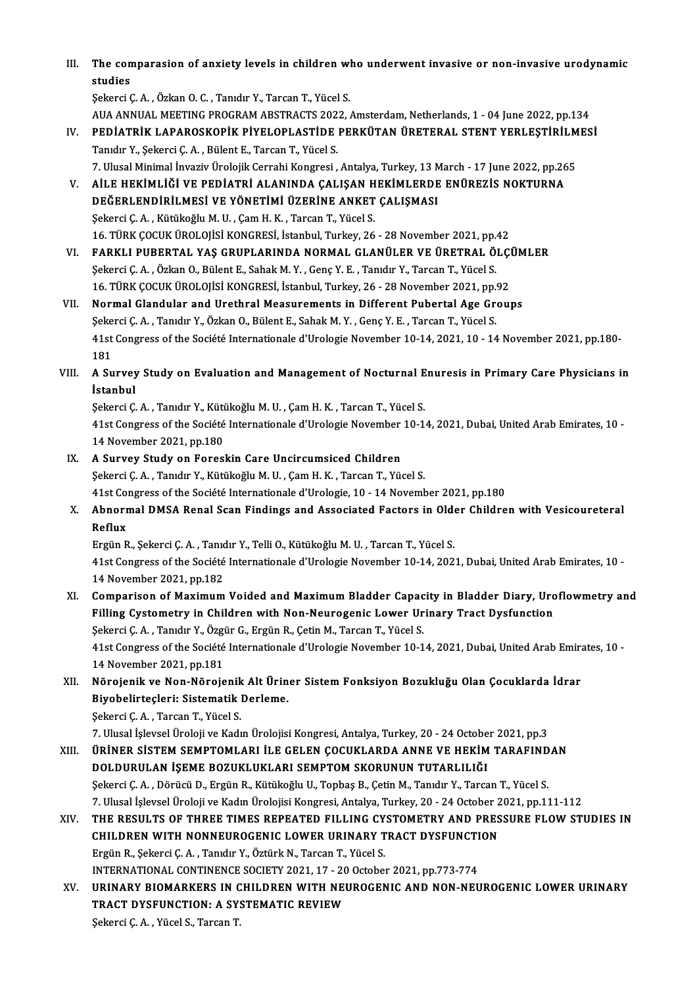III. The comparasion of anxiety levels in children who underwent invasive or non-invasive urodynamic<br>atudies The con<br>studies<br>Sekarsi (

studies<br>Sekerci C. A. , Özkan O. C. , Tanıdır Y., Tarcan T., Yücel S. AUA ANNUAL MEETING PROGRAM ABSTRACTS 2022, Amsterdam, Netherlands, 1 - 04 June 2022, pp.134 Şekerci Ç. A. , Özkan O. C. , Tanıdır Y., Tarcan T., Yücel S.<br>AUA ANNUAL MEETING PROGRAM ABSTRACTS 2022, Amsterdam, Netherlands, 1 - 04 June 2022, pp.134<br>IV. PEDİATRİK LAPAROSKOPİK PİYELOPLASTİDE PERKÜTAN ÜRETERAL STENT YE

- AUA ANNUAL MEETING PROGRAM ABSTRACTS 202<br>PEDIATRIK LAPAROSKOPIK PIYELOPLASTIDE<br>Tanıdır Y., Şekerci Ç.A. , Bülent E., Tarcan T., Yücel S.<br>7. Hlucel Minimal İnvariy Üreleilk Cerrabi Kongresi PEDİATRİK LAPAROSKOPİK PİYELOPLASTİDE PERKÜTAN ÜRETERAL STENT YERLEŞTİRİLM<br>Tanıdır Y., Şekerci Ç. A. , Bülent E., Tarcan T., Yücel S.<br>7. Ulusal Minimal İnvaziv Ürolojik Cerrahi Kongresi , Antalya, Turkey, 13 March - 17 Jun Tanıdır Y., Şekerci Ç. A. , Bülent E., Tarcan T., Yücel S.<br>7. Ulusal Minimal İnvaziv Ürolojik Cerrahi Kongresi , Antalya, Turkey, 13 March - 17 June 2022, pp.26<br>7. AİLE HEKİMLİĞİ VE PEDİATRİ ALANINDA ÇALIŞAN HEKİMLERDE ENÜ 7. Ulusal Minimal İnvaziv Ürolojik Cerrahi Kongresi , Antalya, Turkey, 13 March - 17 June 2022, pp.265
- Şekerci Ç.A., Kütükoğlu M.U., Çam H.K., Tarcan T., Yücel S. DEĞERLENDİRİLMESİ VE YÖNETİMİ ÜZERİNE ANKET ÇALIŞMASI<br>Şekerci Ç. A. , Kütükoğlu M. U. , Çam H. K. , Tarcan T., Yücel S.<br>16. TÜRK ÇOCUK ÜROLOJİSİ KONGRESİ, İstanbul, Turkey, 26 - 28 November 2021, pp.42<br>FARKLI RURERTAL VAS
- VI. FARKLI PUBERTAL YAŞ GRUPLARINDA NORMAL GLANÜLER VE ÜRETRAL ÖLÇÜMLER<br>Şekerci Ç. A. , Özkan O., Bülent E., Sahak M. Y. , Genç Y. E. , Tanıdır Y., Tarcan T., Yücel S. 16. TÜRK ÇOCUK ÜROLOJİSİ KONGRESİ, İstanbul, Turkey, 26 - 28 November 2021, pp.<br>FARKLI PUBERTAL YAŞ GRUPLARINDA NORMAL GLANÜLER VE ÜRETRAL Ö.<br>Şekerci Ç.A. , Özkan O., Bülent E., Sahak M.Y. , Genç Y. E. , Tanıdır Y., Tarcan FARKLI PUBERTAL YAŞ GRUPLARINDA NORMAL GLANÜLER VE ÜRETRAL ÖLÇI<br>Şekerci Ç. A. , Özkan O., Bülent E., Sahak M. Y. , Genç Y. E. , Tanıdır Y., Tarcan T., Yücel S.<br>16. TÜRK ÇOCUK ÜROLOJİSİ KONGRESİ, İstanbul, Turkey, 26 - 28 N
- VII. Normal Glandular and Urethral Measurements in Different Pubertal Age Groups 16. TÜRK ÇOCUK ÜROLOJİSİ KONGRESİ, İstanbul, Turkey, 26 - 28 November 2021, pp.<br>Normal Glandular and Urethral Measurements in Different Pubertal Age Greg.<br>Şekerci Ç. A. , Tanıdır Y., Özkan O., Bülent E., Sahak M. Y. , Genç 41st Congress of the Société Internationale d'Urologie November 10-14, 2021, 10 - 14 November 2021, pp.180-<br>181 Şekerci Ç. A., Tanıdır Y., Özkan O., Bülent E., Sahak M. Y., Genç Y. E., Tarcan T., Yücel S. 41st Congress of the Société Internationale d'Urologie November 10-14, 2021, 10 - 14 November 2021, pp.180-<br>181<br>VIII. A Survey Study on Evaluation and Management of Nocturnal Enuresis in Primary Care Physicians in
- 181<br>A Survey<br>İstanbul<br>Sekergi G A Survey Study on Evaluation and Management of Nocturnal E<br>İstanbul<br>Şekerci Ç.A. , Tanıdır Y., Kütükoğlu M.U. , Çam H. K. , Tarcan T., Yücel S.<br>41st Congress of the Sosiété Internationale d'Urologie Nevember 10 1

İstanbul<br>Şekerci Ç. A. , Tanıdır Y., Kütükoğlu M. U. , Çam H. K. , Tarcan T., Yücel S.<br>41st Congress of the Société Internationale d'Urologie November 10-14, 2021, Dubai, United Arab Emirates, 10 -<br>14 November 2021, pp.180 Sekerci Ç. A., Tanıdır Y., Kütükoğlu M. U., Çam H. K., Tarcan T., Yücel S. 41st Congress of the Société Internationale d'Urologie November<br>14 November 2021, pp.180<br>IX. A Survey Study on Foreskin Care Uncircumsiced Children<br>Sekergi C.A. Tanıdır V. Kütükeğlu M.H. Cam H.K. Tancan T. Vü

- 14 November 2021, pp.180<br>A Survey Study on Foreskin Care Uncircumsiced Children<br>Şekerci Ç.A. , Tanıdır Y., Kütükoğlu M.U. , Çam H.K. , Tarcan T., Yücel S.<br>41st Congress of the Sosiété Internationale d'Urologie 10, 14 Novem \$ekerci Ç. A. , Tanıdır Y., Kütükoğlu M. U. , Çam H. K. , Tarcan T., Yücel S.<br>41st Congress of the Société Internationale d'Urologie, 10 - 14 November 2021, pp.180
- Sekerci Ç. A. , Tanıdır Y., Kütükoğlu M. U. , Çam H. K. , Tarcan T., Yücel S.<br>41st Congress of the Société Internationale d'Urologie, 10 14 November 2021, pp.180<br>X. Abnormal DMSA Renal Scan Findings and Associated Fa 41st Co<br><mark>Abnorr</mark><br>Reflux<br>Fraën <sup>p</sup> Abnormal DMSA Renal Scan Findings and Associated Factors in Olde<br>Reflux<br>Ergün R., Şekerci Ç.A. , Tanıdır Y., Telli O., Kütükoğlu M.U. , Tarcan T., Yücel S.<br>41st Congress of the Sosiété Internationale d'Uralegie Nevember 10

Reflux<br>Ergün R., Şekerci Ç. A. , Tanıdır Y., Telli O., Kütükoğlu M. U. , Tarcan T., Yücel S.<br>41st Congress of the Société Internationale d'Urologie November 10-14, 2021, Dubai, United Arab Emirates, 10 -<br>14 November 2021, Ergün R., Şekerci Ç. A., Tanıdır Y., Telli O., Kütükoğlu M. U., Tarcan T., Yücel S. 41st Congress of the Société Internationale d'Urologie November 10-14, 2021, Dubai, United Arab Emirates, 10 -<br>14 November 2021, pp.182<br>XI. Comparison of Maximum Voided and Maximum Bladder Capacity in Bladder Diary, Uroflo

- 14 November 2021, pp.182<br>Comparison of Maximum Voided and Maximum Bladder Capacity in Bladder Diary, Uro<br>Filling Cystometry in Children with Non-Neurogenic Lower Urinary Tract Dysfunction<br>Sekarsi C.A., Tenylu V. Özgün C. E Comparison of Maximum Voided and Maximum Bladder Capac<br>Filling Cystometry in Children with Non-Neurogenic Lower Ur<br>Şekerci Ç.A., Tanıdır Y., Özgür G., Ergün R., Çetin M., Tarcan T., Yücel S.<br>41et Congress of the Sosiété In Filling Cystometry in Children with Non-Neurogenic Lower Urinary Tract Dysfunction<br>Şekerci Ç. A. , Tanıdır Y., Özgür G., Ergün R., Çetin M., Tarcan T., Yücel S.<br>41st Congress of the Société Internationale d'Urologie Novemb Şekerci Ç. A. , Tanıdır Y., Özgi<br>41st Congress of the Société<br>14 November 2021, pp.181<br>Nörsianik ve Nan Nörsia 41st Congress of the Société Internationale d'Urologie November 10-14, 2021, Dubai, United Arab Emira<br>14 November 2021, pp.181<br>XII. Nörojenik ve Non-Nörojenik Alt Üriner Sistem Fonksiyon Bozukluğu Olan Çocuklarda İdrar<br>Biy
- 14 November 2021, pp.181<br>Nörojenik ve Non-Nörojenik Alt Ürin<br>Biyobelirteçleri: Sistematik Derleme.<br>Sekersi C.A., Tarsan T. Vüsel s Nörojenik ve Non-Nörojenik<br>Biyobelirteçleri: Sistematik<br>Şekerci Ç.A. , Tarcan T., Yücel S.<br>7. Ulucel İslavçel Üreleji ve Kadı

7.Ulusal İşlevselÜrolojiveKadınÜrolojisiKongresi,Antalya,Turkey,20 -24October 2021,pp.3

- XI I. ÜRİNER SİSTEMSEMPTOMLARI İLE GELEN ÇOCUKLARDA ANNE VE HEKİMTARAFINDAN 7. Ulusal İşlevsel Üroloji ve Kadın Ürolojisi Kongresi, Antalya, Turkey, 20 - 24 Octobe<br>ÜRİNER SİSTEM SEMPTOMLARI İLE GELEN ÇOCUKLARDA ANNE VE HEKİM<br>DOLDURULAN İŞEME BOZUKLUKLARI SEMPTOM SKORUNUN TUTARLILIĞI<br>Sekarsi C.A., ÜRİNER SİSTEM SEMPTOMLARI İLE GELEN ÇOCUKLARDA ANNE VE HEKİM TARAFIND<br>DOLDURULAN İŞEME BOZUKLUKLARI SEMPTOM SKORUNUN TUTARLILIĞI<br>Şekerci Ç.A. , Dörücü D., Ergün R., Kütükoğlu U., Topbaş B., Çetin M., Tanıdır Y., Tarcan T., DOLDURULAN İŞEME BOZUKLUKLARI SEMPTOM SKORUNUN TUTARLILIĞI<br>Şekerci Ç. A. , Dörücü D., Ergün R., Kütükoğlu U., Topbaş B., Çetin M., Tanıdır Y., Tarcan T., Yücel S.<br>7. Ulusal İşlevsel Üroloji ve Kadın Ürolojisi Kongresi, Ant Sekerci Ç. A. , Dörücü D., Ergün R., Kütükoğlu U., Topbaş B., Çetin M., Tanıdır Y., Tarcan T., Yücel S.<br>7. Ulusal İşlevsel Üroloji ve Kadın Ürolojisi Kongresi, Antalya, Turkey, 20 - 24 October 2021, pp.111-112<br>XIV. THE
- 7. Ulusal İşlevsel Üroloji ve Kadın Ürolojisi Kongresi, Antalya, Turkey, 20 24 October 2<br>THE RESULTS OF THREE TIMES REPEATED FILLING CYSTOMETRY AND PRES<br>CHILDREN WITH NONNEUROGENIC LOWER URINARY TRACT DYSFUNCTION<br>Fraün B ErgünR.,ŞekerciÇ.A. ,Tanıdır Y.,ÖztürkN.,TarcanT.,YücelS. CHILDREN WITH NONNEUROGENIC LOWER URINARY TRACT DYSFUNCTION Ergün R., Şekerci Ç. A. , Tanıdır Y., Öztürk N., Tarcan T., Yücel S.<br>INTERNATIONAL CONTINENCE SOCIETY 2021, 17 - 20 October 2021, pp.773-774<br>XV. URINARY BIOMARKERS IN CHILDREN WITH NEUROGENIC AND NON-NEUROGENIC LOWER U
- INTERNATIONAL CONTINENCE SOCIETY 2021, 17 20 October 2021, pp.773-774<br>URINARY BIOMARKERS IN CHILDREN WITH NEUROGENIC AND NON-NEU<br>TRACT DYSFUNCTION: A SYSTEMATIC REVIEW<br>Sekerci C. A., Yücel S., Tarcan T. URINARY BIOMARKERS IN C<br>TRACT DYSFUNCTION: A SY:<br>Şekerci Ç. A. , Yücel S., Tarcan T.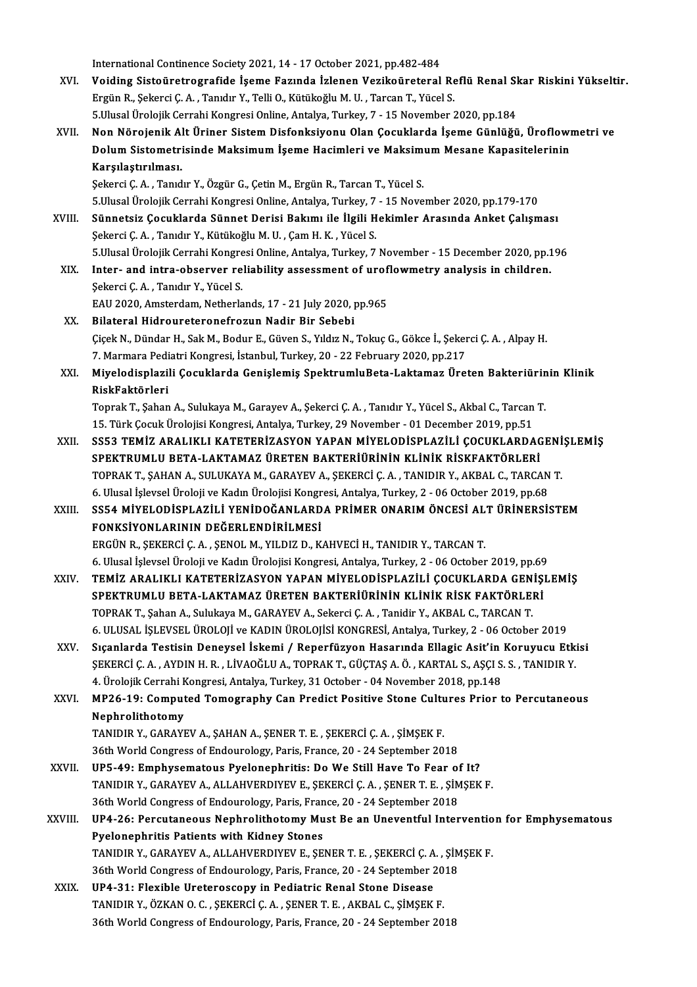International Continence Society 2021, 14 - 17 October 2021, pp.482-484<br>Voiding Siste instructualide Isame Faguade Islanen Vesiko instansl

- XVI. Voiding Sistoüretrografide İşeme Fazında İzlenen Vezikoüreteral Reflü Renal Skar Riskini Yükseltir. International Continence Society 2021, 14 - 17 October 2021, pp.482-484<br>Voiding Sistoüretrografide İşeme Fazında İzlenen Vezikoüreteral Re<br>Ergün R., Şekerci Ç. A. , Tanıdır Y., Telli O., Kütükoğlu M.U. , Tarcan T., Yücel S 5.UlusalÜrolojikCerrahiKongresiOnline,Antalya,Turkey,7 -15November 2020,pp.184 Ergün R., Şekerci Ç. A. , Tanıdır Y., Telli O., Kütükoğlu M. U. , Tarcan T., Yücel S.<br>5.Ulusal Ürolojik Cerrahi Kongresi Online, Antalya, Turkey, 7 - 15 November 2020, pp.184<br>XVII. Non Nörojenik Alt Üriner Sistem Disfonksi
- 5.Ulusal Ürolojik Cerrahi Kongresi Online, Antalya, Turkey, 7 15 November 2020, pp.184<br>Non Nörojenik Alt Üriner Sistem Disfonksiyonu Olan Çocuklarda İşeme Günlüğü, Üroflowı<br>Dolum Sistometrisinde Maksimum İşeme Hacimleri Karşılaştırılması.<br>Şekerci Ç. A. , Tanıdır Y., Özgür G., Çetin M., Ergün R., Tarcan T., Yücel S. Dolum Sistometrisinde Maksimum İşeme Hacimleri ve Maksimum Mesane Kapasitelerinin

5.UlusalÜrolojikCerrahiKongresiOnline,Antalya,Turkey,7 -15November 2020,pp.179-170 Şekerci Ç. A. , Tanıdır Y., Özgür G., Çetin M., Ergün R., Tarcan T., Yücel S.<br>5.Ulusal Ürolojik Cerrahi Kongresi Online, Antalya, Turkey, 7 - 15 November 2020, pp.179-170<br>XVIII. Sünnetsiz Çocuklarda Sünnet Derisi Bakımı il

- 5.Ulusal Ürolojik Cerrahi Kongresi Online, Antalya, Turkey, 7<br>Sünnetsiz Çocuklarda Sünnet Derisi Bakımı ile İlgili H<br>Şekerci Ç. A. , Tanıdır Y., Kütükoğlu M. U. , Çam H. K. , Yücel S.<br>5 Husal Ürolojik Cerrahi Kongresi Onli Sünnetsiz Çocuklarda Sünnet Derisi Bakımı ile İlgili Hekimler Arasında Anket Çalışması<br>Şekerci Ç. A. , Tanıdır Y., Kütükoğlu M. U. , Çam H. K. , Yücel S.<br>5.Ulusal Ürolojik Cerrahi Kongresi Online, Antalya, Turkey, 7 Novemb Sekerci Ç. A. , Tanıdır Y., Kütükoğlu M. U. , Çam H. K. , Yücel S.<br>5.Ulusal Ürolojik Cerrahi Kongresi Online, Antalya, Turkey, 7 November - 15 December 2020, pp.1<br>XIX. Inter- and intra-observer reliability assessment o
- 5.Ulusal Ürolojik Cerrahi Kongre<br>Inter- and intra-observer re<br>Şekerci Ç.A. , Tanıdır Y., Yücel S.<br>EAU 2020. Amsterdam, Natharla Inter- and intra-observer reliability assessment of urof.<br>Şekerci Ç. A. , Tanıdır Y., Yücel S.<br>EAU 2020, Amsterdam, Netherlands, 17 - 21 July 2020, pp.965<br>Bilataral Hidrourataranafragun Nadir Bir Sababi
- Sekerci Ç. A. , Tanıdır Y., Yücel S.<br>EAU 2020, Amsterdam, Netherlands, 17 21 July 2020, <sub>I</sub><br>XX. Bilateral Hidroureteronefrozun Nadir Bir Sebebi EAU 2020, Amsterdam, Netherlands, 17 - 21 July 2020, pp.965<br>Bilateral Hidroureteronefrozun Nadir Bir Sebebi<br>Çiçek N., Dündar H., Sak M., Bodur E., Güven S., Yıldız N., Tokuç G., Gökce İ., Şekerci Ç. A. , Alpay H.<br>7. Marmar Bilateral Hidroureteronefrozun Nadir Bir Sebebi<br>Çiçek N., Dündar H., Sak M., Bodur E., Güven S., Yıldız N., Tokuç G., Gökce İ., Şeker<br>7. Marmara Pediatri Kongresi, İstanbul, Turkey, 20 - 22 February 2020, pp.217<br>Miyalodian Çiçek N., Dündar H., Sak M., Bodur E., Güven S., Yıldız N., Tokuç G., Gökce İ., Şekerci Ç. A. , Alpay H.<br>7. Marmara Pediatri Kongresi, İstanbul, Turkey, 20 - 22 February 2020, pp.217<br>XXI. Miyelodisplazili Çocuklarda Ge
- 7. Marmara Pedi<br><mark>Miyelodisplazi</mark><br>RiskFaktörleri<br><sup>Tonrok T. Seban</sup> Miyelodisplazili Çocuklarda Genişlemiş SpektrumluBeta-Laktamaz Üreten Bakteriürin<br>RiskFaktörleri<br>Toprak T., Şahan A., Sulukaya M., Garayev A., Şekerci Ç. A. , Tanıdır Y., Yücel S., Akbal C., Tarcan T.<br>15. Türk Cosuk Ürelej

RiskFaktörleri<br>Toprak T., Şahan A., Sulukaya M., Garayev A., Şekerci Ç. A. , Tanıdır Y., Yücel S., Akbal C., Tarcan T.<br>15. Türk Çocuk Ürolojisi Kongresi, Antalya, Turkey, 29 November - 01 December 2019, pp.51

Toprak T., Şahan A., Sulukaya M., Garayev A., Şekerci Ç. A. , Tanıdır Y., Yücel S., Akbal C., Tarcan T.<br>15. Türk Çocuk Ürolojisi Kongresi, Antalya, Turkey, 29 November - 01 December 2019, pp.51<br>XXII. SS53 TEMİZ ARALIKL 15. Türk Çocuk Ürolojisi Kongresi, Antalya, Turkey, 29 November - 01 December 2019, pp.51<br>SS53 TEMİZ ARALIKLI KATETERİZASYON YAPAN MİYELODİSPLAZİLİ ÇOCUKLARDAG<br>SPEKTRUMLU BETA-LAKTAMAZ ÜRETEN BAKTERİÜRİNİN KLİNİK RİSKFAKTÖ SS53 TEMİZ ARALIKLI KATETERİZASYON YAPAN MİYELODİSPLAZİLİ ÇOCUKLARDAGENİ<br>SPEKTRUMLU BETA-LAKTAMAZ ÜRETEN BAKTERİÜRİNIN KLINIK RISKFAKTÖRLERI<br>TOPRAK T., ŞAHAN A., SULUKAYA M., GARAYEV A., ŞEKERCİ Ç. A. , TANIDIR Y., AKBAL C SPEKTRUMLU BETA-LAKTAMAZ ÜRETEN BAKTERİÜRİNİN KLİNİK RİSKFAKTÖRLERİ<br>TOPRAK T., ŞAHAN A., SULUKAYA M., GARAYEV A., ŞEKERCİ Ç. A. , TANIDIR Y., AKBAL C., TARCAN<br>6. Ulusal İşlevsel Üroloji ve Kadın Ürolojisi Kongresi, Antalya TOPRAK T., ŞAHAN A., SULUKAYA M., GARAYEV A., ŞEKERCİ Ç. A. , TANIDIR Y., AKBAL C., TARCAN T.<br>6. Ulusal İşlevsel Üroloji ve Kadın Ürolojisi Kongresi, Antalya, Turkey, 2 - 06 October 2019, pp.68<br>XXIII. SS54 MİYELODİSPLA

6. Ulusal İşlevsel Üroloji ve Kadın Ürolojisi Kongresi, Antalya, Turkey, 2 - 06 October 2019, pp.68<br>SS54 MİYELODİSPLAZİLİ YENİDOĞANLARDA PRİMER ONARIM ÖNCESİ ALT ÜRİNERSİSTEM<br>FONKSİYONLARININ DEĞERLENDİRİLMESİ SS54 MİYELODİSPLAZİLİ YENİDOĞANLARDA PRİMER ONARIM ÖNCESİ ALTAN KIRININ DEĞERLENDİRİLMESİ<br>FONKSİYONLARININ DEĞERLENDİRİLMESİ<br>ERGÜN R., ŞEKERCİ Ç.A. , ŞENOL M., YILDIZ D., KAHVECİ H., TANIDIR Y., TARCAN T.<br>6 Hivesi İslamal FONKSİYONLARININ DEĞERLENDİRİLMESİ<br>ERGÜN R., ŞEKERCİ Ç. A. , ŞENOL M., YILDIZ D., KAHVECİ H., TANIDIR Y., TARCAN T.<br>6. Ulusal İşlevsel Üroloji ve Kadın Ürolojisi Kongresi, Antalya, Turkey, 2 - 06 October 2019, pp.69<br>TEMİZ

- XXIV. TEMİZ ARALIKLI KATETERİZASYON YAPAN MİYELODİSPLAZİLİ ÇOCUKLARDA GENİŞLEMİŞ 6. Ulusal İşlevsel Üroloji ve Kadın Ürolojisi Kongresi, Antalya, Turkey, 2 - 06 October 2019, pp.69<br>TEMİZ ARALIKLI KATETERİZASYON YAPAN MİYELODİSPLAZİLİ ÇOCUKLARDA GENİŞ!<br>SPEKTRUMLU BETA-LAKTAMAZ ÜRETEN BAKTERİÜRİNİN KLİNİ TEMİZ ARALIKLI KATETERİZASYON YAPAN MİYELODİSPLAZİLİ ÇOCUKLARDA GEN<br>SPEKTRUMLU BETA-LAKTAMAZ ÜRETEN BAKTERİÜRİNİN KLİNİK RİSK FAKTÖRLEI<br>TOPRAK T., Şahan A., Sulukaya M., GARAYEV A., Sekerci Ç. A. , Tanidir Y., AKBAL C., TA SPEKTRUMLU BETA-LAKTAMAZ ÜRETEN BAKTERİÜRİNİN KLİNİK RİSK FAKTÖRLERİ<br>TOPRAK T., Şahan A., Sulukaya M., GARAYEV A., Sekerci Ç. A. , Tanidir Y., AKBAL C., TARCAN T.<br>6. ULUSAL İŞLEVSEL ÜROLOJİ ve KADIN ÜROLOJİSİ KONGRESİ, Ant TOPRAK T., Şahan A., Sulukaya M., GARAYEV A., Sekerci Ç. A. , Tanidir Y., AKBAL C., TARCAN T.<br>6. ULUSAL İŞLEVSEL ÜROLOJİ ve KADIN ÜROLOJİSİ KONGRESİ, Antalya, Turkey, 2 - 06 October 2019<br>XXV. Sıçanlarda Testisin Deneysel İ
- 6. ULUSAL İŞLEVSEL ÜROLOJİ ve KADIN ÜROLOJİSİ KONGRESİ, Antalya, Turkey, 2 06 October 2019<br>Sıçanlarda Testisin Deneysel İskemi / Reperfüzyon Hasarında Ellagic Asit'in Koruyucu Etki<br>ŞEKERCİ Ç. A. , AYDIN H. R. , LİVAOĞLU Sıçanlarda Testisin Deneysel İskemi / Reperfüzyon Hasarında Ellagic Asit'in<br>ŞEKERCİ Ç. A. , AYDIN H. R. , LİVAOĞLU A., TOPRAK T., GÜÇTAŞ A. Ö. , KARTAL S., AŞÇI S.<br>4. Ürolojik Cerrahi Kongresi, Antalya, Turkey, 31 October ŞEKERCİ Ç. A. , AYDIN H. R. , LİVAOĞLU A., TOPRAK T., GÜÇTAŞ A. Ö. , KARTAL S., AŞÇI S. S. , TANIDIR Y.<br>4. Ürolojik Cerrahi Kongresi, Antalya, Turkey, 31 October - 04 November 2018, pp.148<br>XXVI. MP26-19: Computed Tomograph

4. Ürolojik Cerrahi <mark>K</mark><br>MP26-19: Comput<br>Nephrolithotomy<br>TANIDIB V. CABAVI MP26-19: Computed Tomography Can Predict Positive Stone Cultu<br>Nephrolithotomy<br>TANIDIR Y., GARAYEV A., ŞAHAN A., ŞENER T. E. , ŞEKERCİ Ç. A. , ŞİMŞEK F.<br>26th World Congress of Endourology, Paris, Eranço 20, 24 Santambar 20 Nephrolithotomy<br>TANIDIR Y., GARAYEV A., ŞAHAN A., ŞENER T. E. , ŞEKERCİ Ç. A. , ŞİMŞEK F.<br>36th World Congress of Endourology, Paris, France, 20 - 24 September 2018

- TANIDIR Y., GARAYEV A., ŞAHAN A., ŞENER T. E., ŞEKERCİ Ç. A., ŞİMŞEK F.<br>36th World Congress of Endourology, Paris, France, 20 24 September 2018<br>XXVII. UP5-49: Emphysematous Pyelonephritis: Do We Still Have To Fear of It? 36th World Congress of Endourology, Paris, France, 20 - 24 September 2018<br>UP5-49: Emphysematous Pyelonephritis: Do We Still Have To Fear of It?<br>TANIDIR Y., GARAYEV A., ALLAHVERDIYEV E., ŞEKERCİ Ç. A. , ŞENER T. E. , ŞİMŞEK UP5-49: Emphysematous Pyelonephritis: Do We Still Have To Fear of<br>TANIDIR Y., GARAYEV A., ALLAHVERDIYEV E., ŞEKERCİ Ç. A. , ŞENER T. E. , ŞİM<br>36th World Congress of Endourology, Paris, France, 20 - 24 September 2018<br>UP4 26 36th World Congress of Endourology, Paris, France, 20 - 24 September 2018
- TANIDIR Y., GARAYEV A., ALLAHVERDIYEV E., ŞEKERCİ Ç. A. , ŞENER T. E. , ŞİMŞEK F.<br>36th World Congress of Endourology, Paris, France, 20 24 September 2018<br>XXVIII. UP4-26: Percutaneous Nephrolithotomy Must Be an Uneventful UP4-26: Percutaneous Nephrolithotomy Must Be an Uneventful Interventio<br>Pyelonephritis Patients with Kidney Stones<br>TANIDIR Y., GARAYEV A., ALLAHVERDIYEV E., ŞENER T. E. , ŞEKERCİ Ç. A. , ŞİMŞEK F.<br>26th Werld Congress of End Pyelonephritis Patients with Kidney Stones<br>TANIDIR Y., GARAYEV A., ALLAHVERDIYEV E., ŞENER T. E. , ŞEKERCİ Ç. A. , ŞİM<br>36th World Congress of Endourology, Paris, France, 20 - 24 September 2018<br>UP4 -21: Elevible Unatanessen

TANIDIR Y., GARAYEV A., ALLAHVERDIYEV E., ŞENER T. E., ŞEKERCİ Ç. A<br>36th World Congress of Endourology, Paris, France, 20 - 24 September 2<br>XXIX. UP4-31: Flexible Ureteroscopy in Pediatric Renal Stone Disease<br>TANIDIR V. ÖZK 36th World Congress of Endourology, Paris, France, 20 - 24 September 2018<br>UP4-31: Flexible Ureteroscopy in Pediatric Renal Stone Disease<br>TANIDIR Y., ÖZKAN O. C., ŞEKERCİ Ç. A., ŞENER T. E., AKBAL C., ŞİMŞEK F. 36th World Congress of Endourology, Paris, France, 20 - 24 September 2018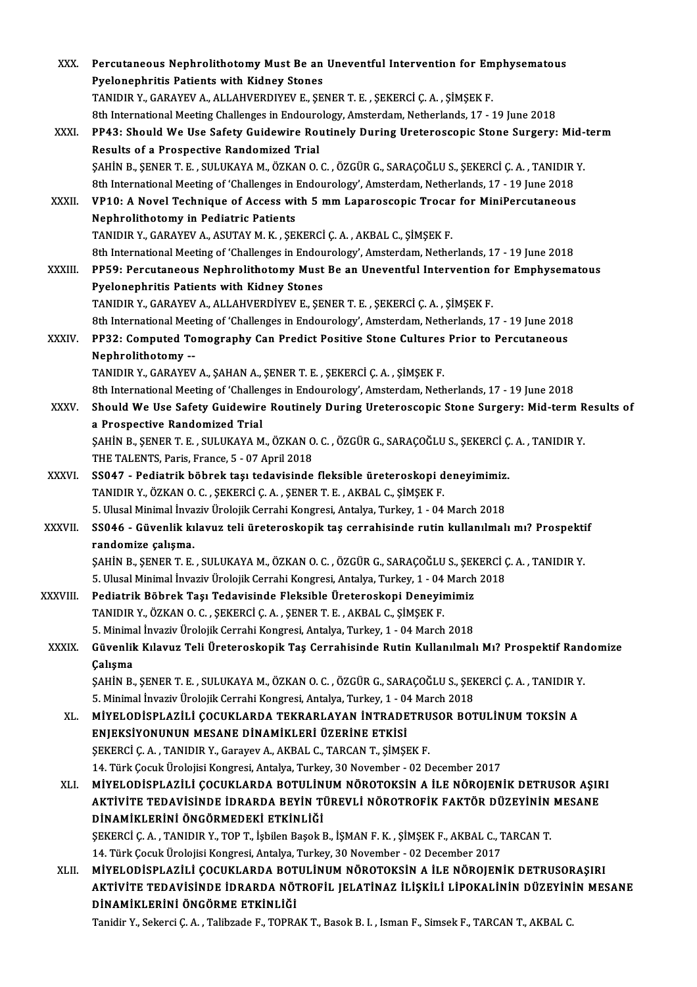| XXX.         | Percutaneous Nephrolithotomy Must Be an Uneventful Intervention for Emphysematous                         |
|--------------|-----------------------------------------------------------------------------------------------------------|
|              | <b>Pyelonephritis Patients with Kidney Stones</b>                                                         |
|              | TANIDIR Y., GARAYEV A., ALLAHVERDIYEV E., ŞENER T. E. , ŞEKERCİ Ç. A. , ŞİMŞEK F.                         |
|              | 8th International Meeting Challenges in Endourology, Amsterdam, Netherlands, 17 - 19 June 2018            |
| XXXI.        | PP43: Should We Use Safety Guidewire Routinely During Ureteroscopic Stone Surgery: Mid-term               |
|              | Results of a Prospective Randomized Trial                                                                 |
|              | ŞAHİN B., ŞENER T. E., SULUKAYA M., ÖZKAN O. C., ÖZGÜR G., SARAÇOĞLU S., ŞEKERCİ Ç. A., TANIDIR Y.        |
|              | 8th International Meeting of 'Challenges in Endourology', Amsterdam, Netherlands, 17 - 19 June 2018       |
| XXXII.       | VP10: A Novel Technique of Access with 5 mm Laparoscopic Trocar for MiniPercutaneous                      |
|              | <b>Nephrolithotomy in Pediatric Patients</b>                                                              |
|              | TANIDIR Y., GARAYEV A., ASUTAY M. K. , ŞEKERCİ Ç. A. , AKBAL C., ŞİMŞEK F.                                |
|              | 8th International Meeting of 'Challenges in Endourology', Amsterdam, Netherlands, 17 - 19 June 2018       |
| XXXIII.      | PP59: Percutaneous Nephrolithotomy Must Be an Uneventful Intervention for Emphysematous                   |
|              | Pyelonephritis Patients with Kidney Stones                                                                |
|              | TANIDIR Y., GARAYEV A., ALLAHVERDİYEV E., ŞENER T. E. , ŞEKERCİ Ç. A. , ŞİMŞEK F.                         |
|              | 8th International Meeting of 'Challenges in Endourology', Amsterdam, Netherlands, 17 - 19 June 2018       |
| XXXIV.       | PP32: Computed Tomography Can Predict Positive Stone Cultures Prior to Percutaneous                       |
|              | Nephrolithotomy --                                                                                        |
|              | TANIDIR Y., GARAYEV A., ŞAHAN A., ŞENER T. E., ŞEKERCİ Ç. A., ŞİMŞEK F.                                   |
|              | 8th International Meeting of 'Challenges in Endourology', Amsterdam, Netherlands, 17 - 19 June 2018       |
| XXXV.        | Should We Use Safety Guidewire Routinely During Ureteroscopic Stone Surgery: Mid-term Results of          |
|              | a Prospective Randomized Trial                                                                            |
|              | ŞAHİN B., ŞENER T. E., SULUKAYA M., ÖZKAN O. C., ÖZGÜR G., SARAÇOĞLU S., ŞEKERCİ Ç. A., TANIDIR Y.        |
|              | THE TALENTS, Paris, France, 5 - 07 April 2018                                                             |
| <b>XXXVI</b> | SS047 - Pediatrik böbrek taşı tedavisinde fleksible üreteroskopi deneyimimiz.                             |
|              | TANIDIR Y., ÖZKAN O. C., ŞEKERCİ Ç. A., ŞENER T. E., AKBAL C., ŞİMŞEK F.                                  |
|              | 5. Ulusal Minimal İnvaziv Ürolojik Cerrahi Kongresi, Antalya, Turkey, 1 - 04 March 2018                   |
| XXXVII.      | SS046 - Güvenlik kılavuz teli üreteroskopik taş cerrahisinde rutin kullanılmalı mı? Prospektif            |
|              | randomize calisma.                                                                                        |
|              | ŞAHİN B., ŞENER T. E., SULUKAYA M., ÖZKAN O. C., ÖZGÜR G., SARAÇOĞLU S., ŞEKERCİ Ç. A., TANIDIR Y.        |
|              | 5. Ulusal Minimal İnvaziv Ürolojik Cerrahi Kongresi, Antalya, Turkey, 1 - 04 March 2018                   |
| XXXVIII.     | Pediatrik Böbrek Taşı Tedavisinde Fleksible Üreteroskopi Deneyimimiz                                      |
|              | TANIDIR Y., ÖZKAN O. C., ŞEKERCİ Ç. A., ŞENER T. E., AKBAL C., ŞİMŞEK F.                                  |
|              | 5. Minimal İnvaziv Ürolojik Cerrahi Kongresi, Antalya, Turkey, 1 - 04 March 2018                          |
| <b>XXXIX</b> | Güvenlik Kılavuz Teli Üreteroskopik Taş Cerrahisinde Rutin Kullanılmalı Mı? Prospektif Randomize          |
|              | Çalışma                                                                                                   |
|              | ŞAHİN B., ŞENER T. E., SULUKAYA M., ÖZKAN O. C., ÖZGÜR G., SARAÇOĞLU S., ŞEKERCİ Ç. A., TANIDIR Y.        |
|              | 5. Minimal İnvaziv Ürolojik Cerrahi Kongresi, Antalya, Turkey, 1 - 04 March 2018                          |
| XL.          | MIYELODİSPLAZİLİ ÇOCUKLARDA TEKRARLAYAN İNTRADETRUSOR BOTULİNUM TOKSİN A                                  |
|              | ENJEKSİYONUNUN MESANE DİNAMİKLERİ ÜZERİNE ETKİSİ                                                          |
|              | ŞEKERCİ Ç. A., TANIDIR Y., Garayev A., AKBAL C., TARCAN T., ŞİMŞEK F.                                     |
|              | 14. Türk Çocuk Ürolojisi Kongresi, Antalya, Turkey, 30 November - 02 December 2017                        |
| XLI.         | MİYELODİSPLAZİLİ ÇOCUKLARDA BOTULİNUM NÖROTOKSİN A İLE NÖROJENİK DETRUSOR AŞIRI                           |
|              | AKTİVİTE TEDAVİSİNDE İDRARDA BEYİN TÜREVLİ NÖROTROFİK FAKTÖR DÜZEYİNİN MESANE                             |
|              | DİNAMİKLERİNİ ÖNGÖRMEDEKİ ETKİNLİĞİ                                                                       |
|              | ŞEKERCİ Ç. A., TANIDIR Y., TOP T., İşbilen Başok B., İŞMAN F. K., ŞİMŞEK F., AKBAL C., TARCAN T.          |
|              | 14. Türk Çocuk Ürolojisi Kongresi, Antalya, Turkey, 30 November - 02 December 2017                        |
| XLII.        | MİYELODİSPLAZİLİ ÇOCUKLARDA BOTULİNUM NÖROTOKSİN A İLE NÖROJENİK DETRUSORAŞIRI                            |
|              | AKTIVITE TEDAVISINDE IDRARDA NÖTROFIL JELATINAZ ILIŞKILI LIPOKALININ DÜZEYININ MESANE                     |
|              | DİNAMİKLERİNİ ÖNGÖRME ETKİNLİĞİ                                                                           |
|              | Tanidir Y., Sekerci Ç. A., Talibzade F., TOPRAK T., Basok B. I., Isman F., Simsek F., TARCAN T., AKBAL C. |
|              |                                                                                                           |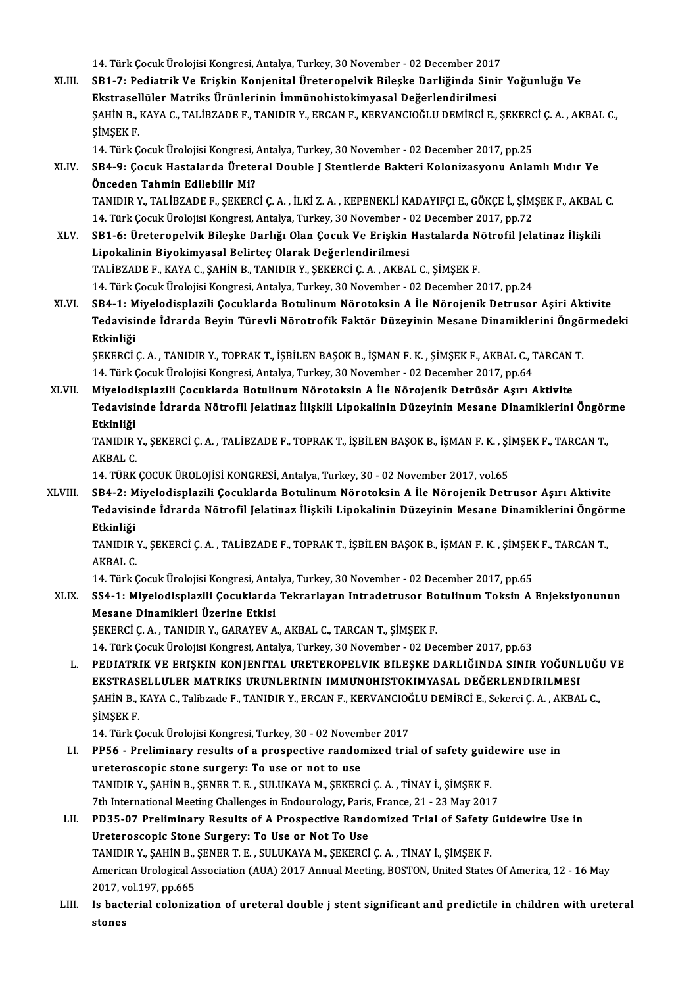14. Türk Çocuk Ürolojisi Kongresi, Antalya, Turkey, 30 November - 02 December 2017<br>SP1. 7. Podiatrik Ve Erickin Konienital Üreterenelyik Bileske Derliğinde Sinir

XLIII. SB1-7: Pediatrik Ve Erişkin Konjenital Üreteropelvik Bileşke Darliğinda Sinir Yoğunluğu Ve 14. Türk Çocuk Ürolojisi Kongresi, Antalya, Turkey, 30 November - 02 December 2017<br>SB1-7: Pediatrik Ve Erişkin Konjenital Üreteropelvik Bileşke Darliğinda Sini<br>Ekstrasellüler Matriks Ürünlerinin İmmünohistokimyasal Değerle SB1-7: Pediatrik Ve Erişkin Konjenital Üreteropelvik Bileşke Darliğinda Sinir Yoğunluğu Ve<br>Ekstrasellüler Matriks Ürünlerinin İmmünohistokimyasal Değerlendirilmesi<br>ŞAHİN B., KAYA C., TALİBZADE F., TANIDIR Y., ERCAN F., KER Ekstrasellüler Matriks Ürünlerinin İmmünohistokimyasal Değerlendirilmesi<br>ŞAHİN B., KAYA C., TALİBZADE F., TANIDIR Y., ERCAN F., KERVANCIOĞLU DEMİRCİ E., ŞEKER<br>ŞİMŞEK F.<br>14. Türk Çocuk Ürolojisi Kongresi, Antalya, Turkey, 3 ŞAHİN B., KAYA C., TALİBZADE F., TANIDIR Y., ERCAN F., KERVANCIOĞLU DEMİRCİ E., ŞEKERC<br>ŞİMŞEK F.<br>14. Türk Çocuk Ürolojisi Kongresi, Antalya, Turkey, 30 November - 02 December 2017, pp.25<br>SB4 .9. Cocuk Hastalarda Ürotoral D

ŞİMŞEK F.<br>14. Türk Çocuk Ürolojisi Kongresi, Antalya, Turkey, 30 November - 02 December 2017, pp.25<br>XLIV. SB4-9: Çocuk Hastalarda Üreteral Double J Stentlerde Bakteri Kolonizasyonu Anlamlı Mıdır Ve<br>Önceden Tehmin Edile 14. Türk Çocuk Ürolojisi Kongresi, .<br>SB4-9: Çocuk Hastalarda Ürete<br>Önceden Tahmin Edilebilir Mi?<br>TANIDIR V. TALİRZADE E. SEKERC Önceden Tahmin Edilebilir Mi?<br>TANIDIR Y., TALİBZADE F., SEKERCİ C. A. , İLKİ Z. A. , KEPENEKLİ KADAYIFCI E., GÖKCE İ., SİMSEK F., AKBAL C. Önceden Tahmin Edilebilir Mi?<br>TANIDIR Y., TALİBZADE F., ŞEKERCİ Ç. A. , İLKİ Z. A. , KEPENEKLİ KADAYIFÇI E., GÖKÇE İ., ŞİM<br>14. Türk Çocuk Ürolojisi Kongresi, Antalya, Turkey, 30 November - 02 December 2017, pp.72<br>SP1-6. Ür

- XLV. SB1-6: Üreteropelvik Bileşke Darlığı Olan Çocuk Ve Erişkin Hastalarda Nötrofil Jelatinaz İlişkili 14. Türk Çocuk Ürolojisi Kongresi, Antalya, Turkey, 30 November - (<br>SB1-6: Üreteropelvik Bileşke Darlığı Olan Çocuk Ve Erişkin<br>Lipokalinin Biyokimyasal Belirteç Olarak Değerlendirilmesi<br>TALİPZADE E, KAYA C, SAHİN B, TANIDI TALİBZADEF.,KAYAC.,ŞAHİNB.,TANIDIRY.,ŞEKERCİÇ.A. ,AKBAL C.,ŞİMŞEKF. 14.TürkÇocukÜrolojisiKongresi,Antalya,Turkey,30November -02December 2017,pp.24 TALİBZADE F., KAYA C., ŞAHİN B., TANIDIR Y., ŞEKERCİ Ç. A. , AKBAL C., ŞİMŞEK F.<br>14. Türk Çocuk Ürolojisi Kongresi, Antalya, Turkey, 30 November - 02 December 2017, pp.24<br>XLVI. SB4-1: Miyelodisplazili Çocuklarda Botuli
- 14. Türk Çocuk Ürolojisi Kongresi, Antalya, Turkey, 30 November 02 December 2017, pp.24<br>SB4-1: Miyelodisplazili Çocuklarda Botulinum Nörotoksin A İle Nörojenik Detrusor Aşiri Aktivite<br>Tedavisinde İdrarda Beyin Türevli Nö SB4-1: M<br>Tedavisi<br>Etkinliği<br>SEKERCİ Tedavisinde İdrarda Beyin Türevli Nörotrofik Faktör Düzeyinin Mesane Dinamiklerini Öngö<br>Etkinliği<br>ŞEKERCİ Ç. A. , TANIDIR Y., TOPRAK T., İŞBİLEN BAŞOK B., İŞMAN F. K. , ŞİMŞEK F., AKBAL C., TARCAN T.<br>14. Türk Cosuk Üreleji

Etkinliği<br>ŞEKERCİ Ç. A. , TANIDIR Y., TOPRAK T., İŞBİLEN BAŞOK B., İŞMAN F. K. , ŞİMŞEK F., AKBAL C., TARCAN T.<br>14. Türk Çocuk Ürolojisi Kongresi, Antalya, Turkey, 30 November - 02 December 2017, pp.64 SEKERCİ Ç. A. , TANIDIR Y., TOPRAK T., İŞBİLEN BAŞOK B., İŞMAN F. K. , ŞİMŞEK F., AKBAL C., TARCAN<br>14. Türk Çocuk Ürolojisi Kongresi, Antalya, Turkey, 30 November - 02 December 2017, pp.64<br>XLVII. Miyelodisplazili Çocuklard

Tedavisinde İdrarda Nötrofil Jelatinaz İlişkili Lipokalinin Düzeyinin Mesane Dinamiklerini Öngörme<br>Etkinliği Miyelodi<br>Tedavisi<br>Etkinliği<br>TANIDIP Tedavisinde İdrarda Nötrofil Jelatinaz İlişkili Lipokalinin Düzeyinin Mesane Dinamiklerini Öngör<br>Etkinliği<br>TANIDIR Y., ŞEKERCİ Ç. A. , TALİBZADE F., TOPRAK T., İŞBİLEN BAŞOK B., İŞMAN F. K. , ŞİMŞEK F., TARCAN T.,<br>AKRAL C

Etkinliği<br>TANIDIR<br>AKBAL C.<br>14 TÜPK

14.TÜRKÇOCUKÜROLOJİSİKONGRESİ,Antalya,Turkey,30 -02November 2017,vol.65

XLVIII. SB4-2: Miyelodisplazili Çocuklarda Botulinum Nörotoksin A İle Nörojenik Detrusor Aşırı Aktivite 14. TÜRK ÇOCUK ÜROLOJİSİ KONGRESİ, Antalya, Turkey, 30 - 02 November 2017, vol.65<br>SB4-2: Miyelodisplazili Çocuklarda Botulinum Nörotoksin A İle Nörojenik Detrusor Aşırı Aktivite<br>Tedavisinde İdrarda Nötrofil Jelatinaz İlişk SB4-2: M<br>Tedavisi<br>Etkinliği<br>TANIDIB Tedavisinde İdrarda Nötrofil Jelatinaz İlişkili Lipokalinin Düzeyinin Mesane Dinamiklerini Öngör<br>Etkinliği<br>TANIDIR Y., ŞEKERCİ Ç. A. , TALİBZADE F., TOPRAK T., İŞBİLEN BAŞOK B., İŞMAN F. K. , ŞİMŞEK F., TARCAN T.,<br>AKRAL C

<mark>Etkinliği</mark><br>TANIDIR<br>AKBAL C.<br>14 Türk C TANIDIR Y., ŞEKERCİ Ç. A. , TALİBZADE F., TOPRAK T., İŞBİLEN BAŞOK B., İŞMAN F. K. , ŞİMŞEH<br>AKBAL C.<br>14. Türk Çocuk Ürolojisi Kongresi, Antalya, Turkey, 30 November - 02 December 2017, pp.65<br>SS4 .1. Miyalodianlarili Cosukl

AKBAL C.<br>14. Türk Çocuk Ürolojisi Kongresi, Antalya, Turkey, 30 November - 02 December 2017, pp.65<br>XLIX. SS4-1: Miyelodisplazili Çocuklarda Tekrarlayan Intradetrusor Botulinum Toksin A Enjeksiyonunun<br>Masana Dinamiklari 14. Türk Çocuk Ürolojisi Kongresi, Anta<br>SS4-1: Miyelodisplazili Çocuklarda<br>Mesane Dinamikleri Üzerine Etkisi<br>SEKERÇİ GAL TANIDIR V. GARAYEVA SS4-1: Miyelodisplazili Çocuklarda Tekrarlayan Intradetrusor Bo<br>Mesane Dinamikleri Üzerine Etkisi<br>ŞEKERCİ Ç.A.,TANIDIR Y.,GARAYEV A.,AKBAL C.,TARCANT.,ŞİMŞEK F.<br>14 Türk Cosuk Ürelejisi Konsresi Artakıs Turkey 30 November, Mesane Dinamikleri Üzerine Etkisi<br>ŞEKERCİ Ç. A. , TANIDIR Y., GARAYEV A., AKBAL C., TARCAN T., ŞİMŞEK F.<br>14. Türk Çocuk Ürolojisi Kongresi, Antalya, Turkey, 30 November - 02 December 2017, pp.63

ŞEKERCİ Ç. A. , TANIDIR Y., GARAYEV A., AKBAL C., TARCAN T., ŞİMŞEK F.<br>14. Türk Çocuk Ürolojisi Kongresi, Antalya, Turkey, 30 November - 02 December 2017, pp.63<br>1. PEDIATRIK VE ERIŞKIN KONJENITAL URETEROPELVIK BILEŞKE DARL 14. Türk Çocuk Ürolojisi Kongresi, Antalya, Turkey, 30 November - 02 December 2017, pp.63<br>PEDIATRIK VE ERIŞKIN KONJENITAL URETEROPELVIK BILEŞKE DARLIĞINDA SINIR YOĞUNL<br>EKSTRASELLULER MATRIKS URUNLERININ IMMUNOHISTOKIMYASAL PEDIATRIK VE ERIŞKIN KONJENITAL URETEROPELVIK BILEŞKE DARLIĞINDA SINIR YOĞUNLUĞI<br>EKSTRASELLULER MATRIKS URUNLERININ IMMUNOHISTOKIMYASAL DEĞERLENDIRILMESI<br>ŞAHİN B., KAYA C., Talibzade F., TANIDIR Y., ERCAN F., KERVANCIOĞLU EKSTRAS<br>ŞAHİN B., I<br>ŞİMŞEK F.<br>14 Türk C ŞAHİN B., KAYA C., Talibzade F., TANIDIR Y., ERCAN F., KERVANCIOČ<br>ŞİMŞEK F.<br>14. Türk Çocuk Ürolojisi Kongresi, Turkey, 30 - 02 November 2017<br>PPE≤ - Proliminary, results af a prespective randomired tria

SIMSEK F.<br>14. Türk Çocuk Ürolojisi Kongresi, Turkey, 30 - 02 November 2017<br>LI. PP56 - Preliminary results of a prospective randomized trial of safety guidewire use in<br>weteressenis stane surgery: To use or not to use 14. Türk Çocuk Ürolojisi Kongresi, Turkey, 30 - 02 Novem<br>PP56 - Preliminary results of a prospective random<br>ureteroscopic stone surgery: To use or not to use<br>TANIDIR V. SAHIN R. SENER T. E. SULUKAYA M. SEKER PP56 - Preliminary results of a prospective randomized trial of safety guid<br>ureteroscopic stone surgery: To use or not to use<br>TANIDIR Y., ŞAHİN B., ŞENER T. E. , SULUKAYA M., ŞEKERCİ Ç. A. , TİNAY İ., ŞİMŞEK F.<br><sup>7th</sup> Inter ureteroscopic stone surgery: To use or not to use<br>TANIDIR Y., ŞAHİN B., ŞENER T. E. , SULUKAYA M., ŞEKERCİ Ç. A. , TİNAY İ., ŞİMŞEK F.<br>7th International Meeting Challenges in Endourology, Paris, France, 21 - 23 May 2017<br>PD TANIDIR Y., ŞAHİN B., ŞENER T. E., SULUKAYA M., ŞEKERCİ Ç. A., TİNAY İ., ŞİMŞEK F.<br>7th International Meeting Challenges in Endourology, Paris, France, 21 - 23 May 2017<br>1. PD35-07 Preliminary Results of A Prospective Random

## Tth International Meeting Challenges in Endourology, Paris<br>PD35-07 Preliminary Results of A Prospective Rand<br>Ureteroscopic Stone Surgery: To Use or Not To Use<br>TANIDIR V SAHIN R SENERT E SULUKAYA M SEKERCI TANIDIRY.,ŞAHİNB.,ŞENERT.E. ,SULUKAYAM.,ŞEKERCİÇ.A. ,TİNAYİ.,ŞİMŞEKF. Ureteroscopic Stone Surgery: To Use or Not To Use<br>TANIDIR Y., ŞAHİN B., ŞENER T. E. , SULUKAYA M., ŞEKERCİ Ç. A. , TİNAY İ., ŞİMŞEK F.<br>American Urological Association (AUA) 2017 Annual Meeting, BOSTON, United States Of Ame TANIDIR Y., ŞAHİN B., .<br>American Urological A<br>2017, vol.197, pp.665<br>Is bastanial salanins

American Urological Association (AUA) 2017 Annual Meeting, BOSTON, United States Of America, 12 - 16 May<br>2017, vol.197, pp.665<br>LIII. Is bacterial colonization of ureteral double j stent significant and predictile in childr 2017, v<br>Is bact<br>stones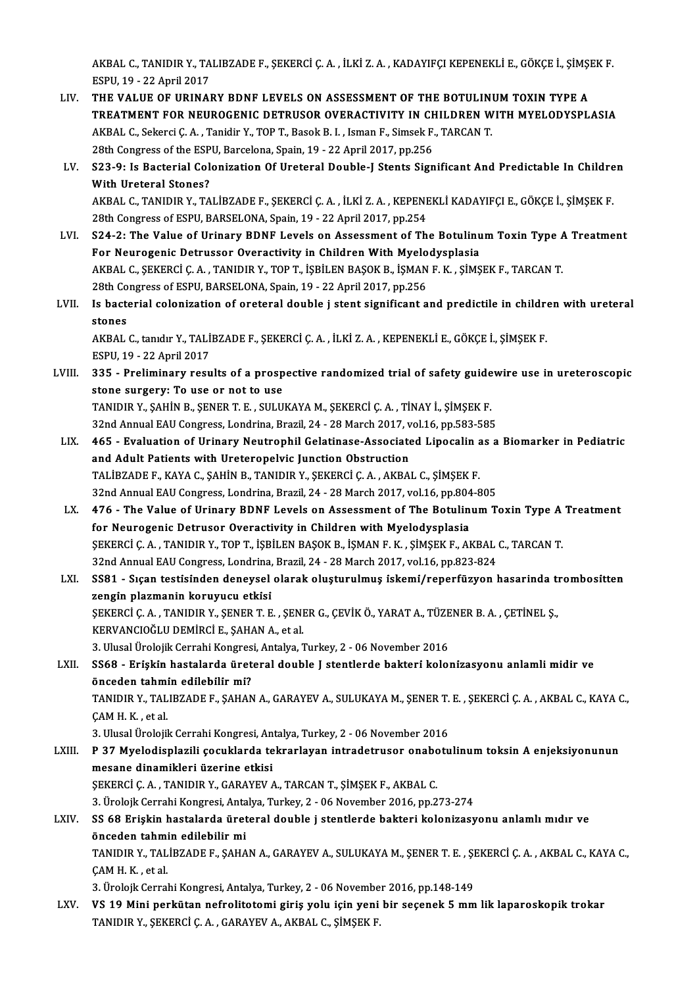AKBAL C., TANIDIR Y., TALIBZADE F., ŞEKERCİ Ç. A. , İLKİ Z. A. , KADAYIFÇI KEPENEKLİ E., GÖKÇE İ., ŞİMŞEK F.<br>ESPH 19., 22 April 2017 AKBAL C., TANIDIR Y., TA<br>ESPU, 19 - 22 April 2017<br>THE VALUE OF UPINAL AKBAL C., TANIDIR Y., TALIBZADE F., ŞEKERCİ Ç. A. , İLKİ Z. A. , KADAYIFÇI KEPENEKLİ E., GÖKÇE İ., ŞİMŞI<br>ESPU, 19 - 22 April 2017<br>LIV. THE VALUE OF URINARY BDNF LEVELS ON ASSESSMENT OF THE BOTULINUM TOXIN TYPE A

- ESPU, 19 22 April 2017<br>THE VALUE OF URINARY BDNF LEVELS ON ASSESSMENT OF THE BOTULINUM TOXIN TYPE A<br>TREATMENT FOR NEUROGENIC DETRUSOR OVERACTIVITY IN CHILDREN WITH MYELODYSPLASIA THE VALUE OF URINARY BDNF LEVELS ON ASSESSMENT OF THE BOTULINI<br>TREATMENT FOR NEUROGENIC DETRUSOR OVERACTIVITY IN CHILDREN W<br>AKBAL C., Sekerci Ç. A. , Tanidir Y., TOP T., Basok B. I. , Isman F., Simsek F., TARCAN T.<br>28th Co TREATMENT FOR NEUROGENIC DETRUSOR OVERACTIVITY IN CH<br>AKBAL C., Sekerci Ç. A. , Tanidir Y., TOP T., Basok B. I. , Isman F., Simsek F.<br>28th Congress of the ESPU, Barcelona, Spain, 19 - 22 April 2017, pp.256<br>522. A. Is Baster AKBAL C., Sekerci Ç. A. , Tanidir Y., TOP T., Basok B. I. , Isman F., Simsek F., TARCAN T.<br>28th Congress of the ESPU, Barcelona, Spain, 19 - 22 April 2017, pp.256<br>LV. S23-9: Is Bacterial Colonization Of Ureteral Double-J S
- 28th Congress of the ESP<br>S23-9: Is Bacterial Col<br>With Ureteral Stones?<br>AKRAL C. TANIDIR V. TA S23-9: Is Bacterial Colonization Of Ureteral Double-J Stents Significant And Predictable In Childre<br>With Ureteral Stones?<br>AKBAL C., TANIDIR Y., TALİBZADE F., ŞEKERCİ Ç. A. , İLKİ Z. A. , KEPENEKLİ KADAYIFÇI E., GÖKÇE İ., Ş With Ureteral Stones?<br>AKBAL C., TANIDIR Y., TALİBZADE F., ŞEKERCİ Ç. A. , İLKİ Z. A. , KEPENEKLİ KADAYIFÇI E., GÖKÇE İ., ŞİMŞEK F.<br>28th Congress of ESPU, BARSELONA, Spain, 19 - 22 April 2017, pp.254

- AKBAL C., TANIDIR Y., TALİBZADE F., ŞEKERCİ Ç. A. , İLKİ Z. A. , KEPENEKLİ KADAYIFÇI E., GÖKÇE İ., ŞİMŞEK F.<br>28th Congress of ESPU, BARSELONA, Spain, 19 22 April 2017, pp.254<br>LVI. S24-2: The Value of Urinary BDNF Levels 28th Congress of ESPU, BARSELONA, Spain, 19 - 22 April 2017, pp.254<br>S24-2: The Value of Urinary BDNF Levels on Assessment of The Botulinu<br>For Neurogenic Detrussor Overactivity in Children With Myelodysplasia<br>AKRAL G. SEKER S24-2: The Value of Urinary BDNF Levels on Assessment of The Botulinum Toxin Type *f*<br>For Neurogenic Detrussor Overactivity in Children With Myelodysplasia<br>AKBAL C., ŞEKERCİ Ç.A. , TANIDIR Y., TOP T., İŞBİLEN BAŞOK B., İŞM For Neurogenic Detrussor Overactivity in Children With Myelo<br>AKBAL C., ŞEKERCİ Ç. A. , TANIDIR Y., TOP T., İŞBİLEN BAŞOK B., İŞMAN<br>28th Congress of ESPU, BARSELONA, Spain, 19 - 22 April 2017, pp.256<br>Is bastarial selenizati AKBAL C., ŞEKERCİ Ç. A. , TANIDIR Y., TOP T., İŞBİLEN BAŞOK B., İŞMAN F. K. , ŞİMŞEK F., TARCAN T.<br>28th Congress of ESPU, BARSELONA, Spain, 19 - 22 April 2017, pp.256<br>LVII. Is bacterial colonization of oreteral double j st
- 28th Co<br>Is bacte<br>stones<br>AKRAI Is bacterial colonization of oreteral double j stent significant and predictile in childre<br>stones<br>AKBAL C., tanıdır Y., TALİBZADE F., ŞEKERCİ Ç. A. , İLKİ Z. A. , KEPENEKLİ E., GÖKÇE İ., ŞİMŞEK F.<br>ESPU 19., 22 April 2017

stones<br>AKBAL C., tanıdır Y., TALİBZADE F., ŞEKERCİ Ç. A. , İLKİ Z. A. , KEPENEKLİ E., GÖKÇE İ., ŞİMŞEK F.<br>ESPU, 19 - 22 April 2017

AKBAL C., tanıdır Y., TALİBZADE F., ŞEKERCİ Ç. A. , İLKİ Z. A. , KEPENEKLİ E., GÖKÇE İ., ŞİMŞEK F.<br>ESPU, 19 - 22 April 2017<br>LVIII. 335 - Preliminary results of a prospective randomized trial of safety guidewire use in uret ESPU, 19 - 22 April 2017<br>335 - Preliminary results of a prosp<br>stone surgery: To use or not to use<br>TANIDIB V, SAHIN B, SENER T. E., SIH H 335 - Preliminary results of a prospective randomized trial of safety guide<br>stone surgery: To use or not to use<br>TANIDIR Y., ŞAHİN B., ŞENER T. E. , SULUKAYA M., ŞEKERCİ Ç. A. , TİNAY İ., ŞİMŞEK F.<br>22nd Annual FAU Congress

stone surgery: To use or not to use<br>TANIDIR Y., ŞAHİN B., ŞENER T. E. , SULUKAYA M., ŞEKERCİ Ç. A. , TİNAY İ., ŞİMŞEK F.<br>32nd Annual EAU Congress, Londrina, Brazil, 24 - 28 March 2017, vol.16, pp.583-585

- TANIDIR Y., ŞAHİN B., ŞENER T. E. , SULUKAYA M., ŞEKERCİ Ç. A. , TİNAY İ., ŞİMŞEK F.<br>32nd Annual EAU Congress, Londrina, Brazil, 24 28 March 2017, vol.16, pp.583-585<br>LIX. 465 Evaluation of Urinary Neutrophil Gelatinase 32nd Annual EAU Congress, Londrina, Brazil, 24 - 28 March 2017, v<br>465 - Evaluation of Urinary Neutrophil Gelatinase-Associate<br>and Adult Patients with Ureteropelvic Junction Obstruction<br>TALIPZADE E, KAVA C, SAHIN P, TANIDIP 465 - Evaluation of Urinary Neutrophil Gelatinase-Associated Lipocalin and Adult Patients with Ureteropelvic Junction Obstruction<br>TALİBZADE F., KAYA C., ŞAHİN B., TANIDIR Y., ŞEKERCİ Ç. A. , AKBAL C., ŞİMŞEK F.<br>22nd Annual and Adult Patients with Ureteropelvic Junction Obstruction<br>TALİBZADE F., KAYA C., ŞAHİN B., TANIDIR Y., ŞEKERCİ Ç. A. , AKBAL C., ŞİMŞEK F.<br>32nd Annual EAU Congress, Londrina, Brazil, 24 - 28 March 2017, vol.16, pp.804-805 TALİBZADE F., KAYA C., ŞAHİN B., TANIDIR Y., ŞEKERCİ Ç. A. , AKBAL C., ŞİMŞEK F.<br>32nd Annual EAU Congress, Londrina, Brazil, 24 - 28 March 2017, vol.16, pp.804-805<br>LX. 476 - The Value of Urinary BDNF Levels on Assessme
- 32nd Annual EAU Congress, Londrina, Brazil, 24 28 March 2017, vol.16, pp.804<br>476 The Value of Urinary BDNF Levels on Assessment of The Botulin<br>for Neurogenic Detrusor Overactivity in Children with Myelodysplasia<br>SEKERC 476 - The Value of Urinary BDNF Levels on Assessment of The Botulinum Toxin Type A<br>for Neurogenic Detrusor Overactivity in Children with Myelodysplasia<br>ŞEKERCİ Ç. A. , TANIDIR Y., TOP T., İŞBİLEN BAŞOK B., İŞMAN F. K. , Şİ for Neurogenic Detrusor Overactivity in Children with Myelodysplasia<br>ŞEKERCİ Ç. A. , TANIDIR Y., TOP T., İŞBİLEN BAŞOK B., İŞMAN F. K. , ŞİMŞEK F., AKBAL<br>32nd Annual EAU Congress, Londrina, Brazil, 24 - 28 March 2017, vol. 32nd Annual EAU Congress, Londrina, Brazil, 24 - 28 March 2017, vol.16, pp 823-824
- LXI. SS81 Sıçan testisinden deneysel olarak oluşturulmuş iskemi/reperfüzyon hasarinda trombositten<br>zengin plazmanin koruyucu etkisi SS81 - Sıçan testisinden deneysel olarak oluşturulmuş iskemi/reperfüzyon hasarında tı<br>zengin plazmanın koruyucu etkisi<br>ŞEKERCİ Ç. A. , TANIDIR Y., ŞENER T. E. , ŞENER G., ÇEVİK Ö., YARAT A., TÜZENER B. A. , ÇETİNEL Ş.,<br>KER zengin plazmanin koruyucu etkisi<br>ŞEKERCİ Ç. A. , TANIDIR Y., ŞENER T. E. , ŞENI<br>KERVANCIOĞLU DEMİRCİ E., ŞAHAN A., et al.<br>2. Ulucel Ürelejik Cerreki Konsresi, Antalya 7 ŞEKERCİ Ç. A. , TANIDIR Y., ŞENER T. E. , ŞENER G., ÇEVİK Ö., YARAT A., TÜZE<br>KERVANCIOĞLU DEMİRCİ E., ŞAHAN A., et al.<br>3. Ulusal Ürolojik Cerrahi Kongresi, Antalya, Turkey, 2 - 06 November 2016<br>SS68 - Eriskin bastalarda ün KERVANCIOĞLU DEMİRCİ E., ŞAHAN A., et al.<br>3. Ulusal Ürolojik Cerrahi Kongresi, Antalya, Turkey, 2 - 06 November 2016<br>LXII. SS68 - Erişkin hastalarda üreteral double J stentlerde bakteri kolonizasyonu anlamli midir ve<br>önc 3. Ulusal Ürolojik Cerrahi Kongresi, Antalya, Turkey, 2 - 06 November 2016

## SS68 - Erişkin hastalarda üreteral double J stentlerde bakteri kolonizasyonu anlamli midir ve<br>önceden tahmin edilebilir mi?<br>TANIDIR Y., TALIBZADE F., ŞAHAN A., GARAYEV A., SULUKAYA M., ŞENER T. E. , ŞEKERCİ Ç. A. , AKBAL C <mark>önceden tahmi</mark><br>TANIDIR Y., TAL<br>ÇAM H. K. , et al.<br>2. Ulusal Üraleiil TANIDIR Y., TALIBZADE F., ŞAHAN A., GARAYEV A., SULUKAYA M., ŞENER T.<br>ÇAM H. K. , et al.<br>3. Ulusal Ürolojik Cerrahi Kongresi, Antalya, Turkey, 2 - 06 November 2016<br>B. 37 Myalodisplarili, sosuklarda tekrarlayan, intradetrus

## CAM H. K. , et al.<br>3. Ulusal Ürolojik Cerrahi Kongresi, Antalya, Turkey, 2 - 06 November 2016<br>LXIII. P 37 Myelodisplazili çocuklarda tekrarlayan intradetrusor onabotulinum toksin A enjeksiyonunun<br>mesane dinamikleri üze 3. Ulusal Ürolojik Cerrahi Kongresi, An<br>P 37 Myelodisplazili çocuklarda te<br>mesane dinamikleri üzerine etkisi<br>SEKERCİ C A - TANIDIR Y - CARAVEV / P 37 Myelodisplazili çocuklarda tekrarlayan intradetrusor onabomesane dinamikleri üzerine etkisi<br>ŞEKERCİ Ç.A.,TANIDIR Y., GARAYEV A., TARCAN T., ŞİMŞEK F., AKBAL C.<br>2. Ürelejk Cerrebi Kongresi, Antalya Turkey, 2., 06 Nevem mesane dinamikleri üzerine etkisi<br>ŞEKERCİ Ç. A. , TANIDIR Y., GARAYEV A., TARCAN T., ŞİMŞEK F., AKBAL C.<br>3. Ürolojk Cerrahi Kongresi, Antalya, Turkey, 2 - 06 November 2016, pp.273-274<br>SS 69 Eriskin hastalarda üreteral daub

## ŞEKERCİ Ç. A. , TANIDIR Y., GARAYEV A., TARCAN T., ŞİMŞEK F., AKBAL C.<br>3. Ürolojk Cerrahi Kongresi, Antalya, Turkey, 2 - 06 November 2016, pp.273-274<br>LXIV. SS 68 Erişkin hastalarda üreteral double j stentlerde bakteri ko 3. Ürolojk Cerrahi Kongresi, Anta<br>SS 68 Erişkin hastalarda üret<br>önceden tahmin edilebilir mi<br>TANIDIR V. TALİRZADE E. SAHA SS 68 Erişkin hastalarda üreteral double j stentlerde bakteri kolonizasyonu anlamlı mıdır ve<br>önceden tahmin edilebilir mi<br>TANIDIR Y., TALİBZADE F., ŞAHAN A., GARAYEV A., SULUKAYA M., ŞENER T. E. , ŞEKERCİ Ç. A. , AKBAL C.,

<mark>önceden tahmi</mark><br>TANIDIR Y., TAL<br>ÇAM H. K. , et al.<br>2. Üneleik Cerrel TANIDIR Y., TALİBZADE F., ŞAHAN A., GARAYEV A., SULUKAYA M., ŞENER T. E. , ŞI<br>ÇAM H. K. , et al.<br>3. Ürolojk Cerrahi Kongresi, Antalya, Turkey, 2 - 06 November 2016, pp.148-149<br>VS 19 Mini porkütan nefrelitetemi giriş yolu i

CAM H. K. , et al.<br>3. Ürolojk Cerrahi Kongresi, Antalya, Turkey, 2 - 06 November 2016, pp.148-149<br>LXV. VS 19 Mini perkütan nefrolitotomi giriş yolu için yeni bir seçenek 5 mm lik laparoskopik trokar<br>TANIDIR V. SEKERCİ 3. Ürolojk Cerrahi Kongresi, Antalya, Turkey, 2 - 06 Novembe<br>VS 19 Mini perkütan nefrolitotomi giriş yolu için yeni<br>TANIDIR Y., ŞEKERCİ Ç. A. , GARAYEV A., AKBAL C., ŞİMŞEK F.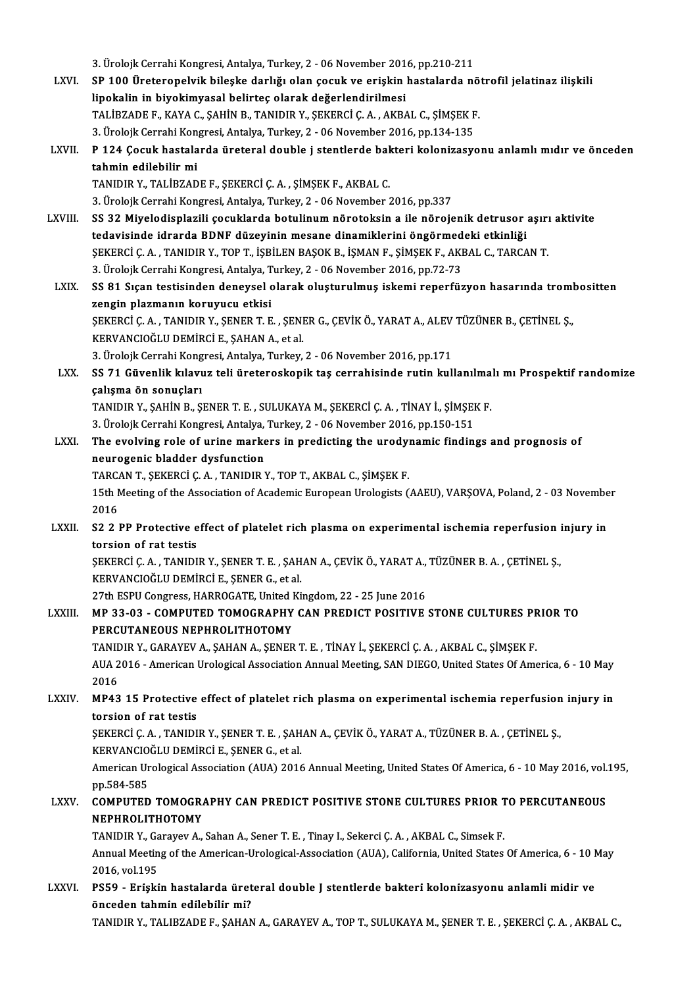3. Ürolojk Cerrahi Kongresi, Antalya, Turkey, 2 - 06 November 2016, pp.210-211

3. Ürolojk Cerrahi Kongresi, Antalya, Turkey, 2 - 06 November 2016, pp.210-211<br>LXVI. SP 100 Üreteropelvik bileşke darlığı olan çocuk ve erişkin hastalarda nötrofil jelatinaz ilişkili 3. Ürolojk Cerrahi Kongresi, Antalya, Turkey, 2 - 06 November 201<br>SP 100 Üreteropelvik bileşke darlığı olan çocuk ve erişkin<br>lipokalin in biyokimyasal belirteç olarak değerlendirilmesi<br>TALİPZADE E. KAYA G. SAHİN B. TANIDIR SP 100 Üreteropelvik bileşke darlığı olan çocuk ve erişkin hastalarda nö<br>lipokalin in biyokimyasal belirteç olarak değerlendirilmesi<br>TALİBZADE F., KAYA C., ŞAHİN B., TANIDIR Y., ŞEKERCİ Ç. A. , AKBAL C., ŞİMŞEK F.<br>2. Ürele lipokalin in biyokimyasal belirteç olarak değerlendirilmesi<br>TALİBZADE F., KAYA C., ŞAHİN B., TANIDIR Y., ŞEKERCİ Ç. A. , AKBAL C., ŞİMŞEK F. TALİBZADE F., KAYA C., ŞAHİN B., TANIDIR Y., ŞEKERCİ Ç. A. , AKBAL C., ŞİMŞEK F.<br>3. Ürolojk Cerrahi Kongresi, Antalya, Turkey, 2 - 06 November 2016, pp.134-135<br>LXVII. P 124 Çocuk hastalarda üreteral double j stentlerde 3. Ürolojk Cerrahi Kongresi, Antalya, Turkey, 2 - 06 November 2016, pp.134-135<br>P 124 Çocuk hastalarda üreteral double j stentlerde bakteri kolonizasy<br>tahmin edilebilir mi<br>TANIDIR Y., TALİBZADE F., SEKERCİ Ç. A. , SİMSEK F. P 124 Çocuk hastalarda üreteral double j stentlerde baltahmin edilebilir mi<br>TANIDIR Y., TALİBZADE F., ŞEKERCİ Ç.A. , ŞİMŞEK F., AKBAL C.<br>2. Ürelejk Cerrebi Kongresi, Antalya Turkey, 2., 96 Nevember 2 tahmin edilebilir mi<br>TANIDIR Y., TALİBZADE F., ŞEKERCİ Ç. A. , ŞİMŞEK F., AKBAL C.<br>3. Ürolojk Cerrahi Kongresi, Antalya, Turkey, 2 - 06 November 2016, pp.337<br>SS 22 Miveledisplarili secuklarda botulinum nöroteksin a ile pör TANIDIR Y., TALİBZADE F., ŞEKERCİ Ç. A. , ŞİMŞEK F., AKBAL C.<br>3. Ürolojk Cerrahi Kongresi, Antalya, Turkey, 2 - 06 November 2016, pp.337<br>LXVIII. SS 32 Miyelodisplazili çocuklarda botulinum nörotoksin a ile nörojenik de 3. Ürolojk Cerrahi Kongresi, Antalya, Turkey, 2 - 06 November 2016, pp.337<br>SS 32 Miyelodisplazili çocuklarda botulinum nörotoksin a ile nörojenik detrusor<br>tedavisinde idrarda BDNF düzeyinin mesane dinamiklerini öngörmedeki SS 32 Miyelodisplazili çocuklarda botulinum nörotoksin a ile nörojenik detrusor aşırı<br>tedavisinde idrarda BDNF düzeyinin mesane dinamiklerini öngörmedeki etkinliği<br>ŞEKERCİ Ç. A. , TANIDIR Y., TOP T., İŞBİLEN BAŞOK B., İŞMA tedavisinde idrarda BDNF düzeyinin mesane dinamiklerini öngörmedeki etkinliği<br>ŞEKERCİ Ç. A. , TANIDIR Y., TOP T., İŞBİLEN BAŞOK B., İŞMAN F., ŞİMŞEK F., AKBAL C., TARCAN T.<br>3. Ürolojk Cerrahi Kongresi, Antalya, Turkey, 2 -ŞEKERCİ Ç. A. , TANIDIR Y., TOP T., İŞBİLEN BAŞOK B., İŞMAN F., ŞİMŞEK F., AKBAL C., TARCAN T.<br>3. Ürolojk Cerrahi Kongresi, Antalya, Turkey, 2 - 06 November 2016, pp.72-73<br>LXIX. SS 81 Sıçan testisinden deneysel olarak oluş 3. Ürolojk Cerrahi Kongresi, Antalya, T<br>SS 81 Sıçan testisinden deneysel c<br>zengin plazmanın koruyucu etkisi<br>SEKERCİ C A - TANIDIR V. SENER T-E SS 81 Sıçan testisinden deneysel olarak oluşturulmuş iskemi reperfüzyon hasarında troml<br>zengin plazmanın koruyucu etkisi<br>ŞEKERCİ Ç. A. , TANIDIR Y., ŞENER T. E. , ŞENER G., ÇEVİK Ö., YARAT A., ALEV TÜZÜNER B., ÇETİNEL Ş.,<br> zengin plazmanın koruyucu etkisi<br>ŞEKERCİ Ç. A. , TANIDIR Y., ŞENER T. E. , ŞENI<br>KERVANCIOĞLU DEMİRCİ E., ŞAHAN A., et al.<br>2. Üreleik Cerrebi Kongresi, Antalya Turkey ŞEKERCİ Ç. A. , TANIDIR Y., ŞENER T. E. , ŞENER G., ÇEVİK Ö., YARAT A., ALEV<br>KERVANCIOĞLU DEMİRCİ E., ŞAHAN A., et al.<br>3. Ürolojk Cerrahi Kongresi, Antalya, Turkey, 2 - 06 November 2016, pp.171<br>SS 71. Güyanlik kılayur teli KERVANCIOĞLU DEMİRCİ E., ŞAHAN A., et al.<br>3. Ürolojk Cerrahi Kongresi, Antalya, Turkey, 2 - 06 November 2016, pp.171<br>LXX. SS 71 Güvenlik kılavuz teli üreteroskopik taş cerrahisinde rutin kullanılmalı mı Prospektif rand 3. Ürolojk Cerrahi Kong<br>SS 71 Güvenlik kılavı<br>çalışma ön sonuçları<br>TANIDIR Y. SAHİN B. S SS 71 Güvenlik kılavuz teli üreteroskopik taş cerrahisinde rutin kullanılma<br>çalışma ön sonuçları<br>TANIDIR Y., ŞAHİN B., ŞENER T. E. , SULUKAYA M., ŞEKERCİ Ç. A. , TİNAY İ., ŞİMŞEK F.<br>2. Üreleik Cerrebi Kengresi, Antalya Tur 5. çalışma ön sonuçları<br>19. TANIDIR Y., ŞAHİN B., ŞENER T. E. , SULUKAYA M., ŞEKERCİ Ç. A. , TİNAY İ., ŞİMŞEK F.<br>3. Ürolojk Cerrahi Kongresi, Antalya, Turkey, 2 - 06 November 2016, pp.150-151 TANIDIR Y., ŞAHİN B., ŞENER T. E. , SULUKAYA M., ŞEKERCİ Ç. A. , TİNAY İ., ŞİMŞEK F.<br>3. Ürolojk Cerrahi Kongresi, Antalya, Turkey, 2 - 06 November 2016, pp.150-151<br>LXXI. The evolving role of urine markers in predicting the 3. Ürolojk Cerrahi Kongresi, Antalya,<br>The evolving role of urine marke<br>neurogenic bladder dysfunction<br>TABCAN T. SEKERCLC A. TANIDIB Y The evolving role of urine markers in predicting the urody<br>neurogenic bladder dysfunction<br>TARCAN T., ŞEKERCİ Ç.A. , TANIDIR Y., TOP T., AKBAL C., ŞİMŞEK F.<br>15th Meeting of the Association of Asademic European Urologists ( neurogenic bladder dysfunction<br>TARCAN T., ŞEKERCİ Ç. A. , TANIDIR Y., TOP T., AKBAL C., ŞİMŞEK F.<br>15th Meeting of the Association of Academic European Urologists (AAEU), VARŞOVA, Poland, 2 - 03 November<br>2016 TARCAN T., ŞEKERCİ Ç. A., TANIDIR Y., TOP T., AKBAL C., ŞİMŞEK F. 15th Meeting of the Association of Academic European Urologists (AAEU), VARŞOVA, Poland, 2 - 03 Novembe<br>2016<br>LXXII. S2 2 PP Protective effect of platelet rich plasma on experimental ischemia reperfusion injury in<br>tergion o 2016<br>S2 2 PP Protective e<br>torsion of rat testis<br>SEKERCLC A TANINI S2 2 PP Protective effect of platelet rich plasma on experimental ischemia reperfusion i<br>torsion of rat testis<br>ŞEKERCİ Ç. A. , TANIDIR Y., ŞENER T. E. , ŞAHAN A., ÇEVİK Ö., YARAT A., TÜZÜNER B. A. , ÇETİNEL Ş.,<br>KERVANCIQĞI torsion of rat testis<br>ŞEKERCİ Ç. A. , TANIDIR Y., ŞENER T. E. , ŞAHAN A., ÇEVİK Ö., YARAT A., TÜZÜNER B. A. , ÇETİNEL Ş.,<br>KERVANCIOĞLU DEMİRCİ E., SENER G., et al. ŞEKERCİ Ç. A. , TANIDIR Y., ŞENER T. E. , ŞAHAN A., ÇEVİK Ö., YARAT A.,<br>KERVANCIOĞLU DEMİRCİ E., ŞENER G., et al.<br>27th ESPU Congress, HARROGATE, United Kingdom, 22 - 25 June 2016<br>MR 22.02. - COMBUTED TOMOGRABUY CAN BREDICT LXXIII. MP 33-03 - COMPUTED TOMOGRAPHY CAN PREDICT POSITIVE STONE CULTURES PRIOR TO<br>PERCUTANEOUS NEPHROLITHOTOMY 27th ESPU Congress, HARROGATE, United I<br>MP 33-03 - COMPUTED TOMOGRAPHY<br>PERCUTANEOUS NEPHROLITHOTOMY<br>TANIDIR V. CARAYEV A, SAHAN A, SENER MP 33-03 - COMPUTED TOMOGRAPHY CAN PREDICT POSITIVE STONE CULTURES PR<br>PERCUTANEOUS NEPHROLITHOTOMY<br>TANIDIR Y., GARAYEV A., ŞAHAN A., ŞENER T. E. , TİNAY İ., ŞEKERCİ Ç. A. , AKBAL C., ŞİMŞEK F.<br>AUA 2016 - American Uralagisa AUA 2016 - American Urological Association Annual Meeting, SAN DIEGO, United States Of America, 6 - 10 May<br>2016 **TANIL<br>AUA 2<br>2016<br>MB43** AUA 2016 - American Urological Association Annual Meeting, SAN DIEGO, United States Of America, 6 - 10 May<br>2016<br>LXXIV. MP43 15 Protective effect of platelet rich plasma on experimental ischemia reperfusion injury in 2016<br>MP43 15 Protective<br>torsion of rat testis<br>SEKERCLC A TANINI MP43 15 Protective effect of platelet rich plasma on experimental ischemia reperfusion<br>torsion of rat testis<br>ŞEKERCİ Ç.A., TANIDIR Y., ŞENER T.E., ŞAHAN A., ÇEVİK Ö., YARAT A., TÜZÜNER B.A., ÇETİNEL Ş.,<br>KERVANCIQĞI U DEMIR torsion of rat testis<br>ŞEKERCİ Ç. A. , TANIDIR Y., ŞENER T. E. , ŞAH<br>KERVANCIOĞLU DEMİRCİ E., ŞENER G., et al.<br>American Urological Association (AUA) 2016 ŞEKERCİ Ç. A. , TANIDIR Y., ŞENER T. E. , ŞAHAN A., ÇEVİK Ö., YARAT A., TÜZÜNER B. A. , ÇETİNEL Ş.,<br>KERVANCIOĞLU DEMİRCİ E., ŞENER G., et al.<br>American Urological Association (AUA) 2016 Annual Meeting, United States Of Amer KERVANCIO<br>American Ur<br>pp.584-585<br>COMPUTED American Urological Association (AUA) 2016 Annual Meeting, United States Of America, 6 - 10 May 2016, vol.<br>2016, pp.584-585<br>LXXV. COMPUTED TOMOGRAPHY CAN PREDICT POSITIVE STONE CULTURES PRIOR TO PERCUTANEOUS pp.584-585<br>COMPUTED TOMOGRA<br>NEPHROLITHOTOMY<br>TANIDIR Y COTOWY A COMPUTED TOMOGRAPHY CAN PREDICT POSITIVE STONE CULTURES PRIOR T<br>NEPHROLITHOTOMY<br>TANIDIR Y., Garayev A., Sahan A., Sener T. E. , Tinay I., Sekerci Ç. A. , AKBAL C., Simsek F.<br>Annual Meeting of the American Uralegical Associ NEPHROLITHOTOMY<br>TANIDIR Y., Garayev A., Sahan A., Sener T. E. , Tinay I., Sekerci Ç. A. , AKBAL C., Simsek F.<br>Annual Meeting of the American-Urological-Association (AUA), California, United States Of America, 6 - 10 May<br>20 TANIDIR Y., Garayev A., Sahan A., Sener T. E., Tinay I., Sekerci C. A., AKBAL C., Simsek F. Annual Meeting of the American-Urological-Association (AUA), California, United States Of America, 6 - 10 N<br>2016, vol.195<br>LXXVI. PS59 - Erişkin hastalarda üreteral double J stentlerde bakteri kolonizasyonu anlamli midir ve 2016, vol.195<br>PS59 - Erişkin hastalarda üret<br>önceden tahmin edilebilir mi?<br>TANIDIR V. TALIRZADEE, SAHAN önceden tahmin edilebilir mi?<br>TANIDIR Y., TALIBZADE F., ŞAHAN A., GARAYEV A., TOP T., SULUKAYA M., ŞENER T. E. , ŞEKERCİ Ç. A. , AKBAL C.,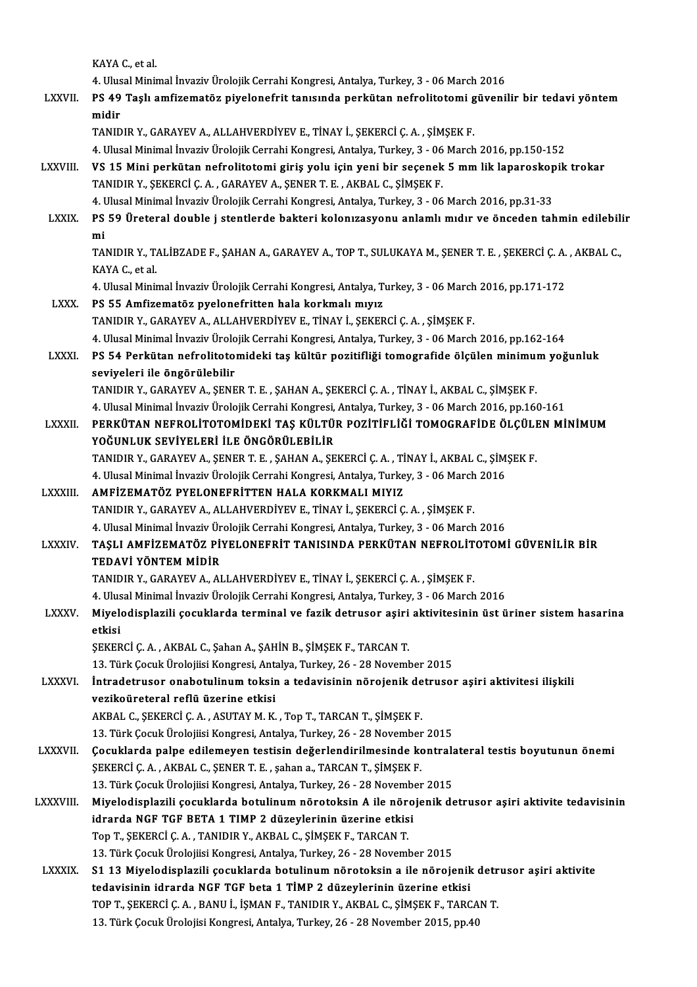KAYAC.,etal.

KAYA C., et al.<br>4. Ulusal Minimal İnvaziv Ürolojik Cerrahi Kongresi, Antalya, Turkey, 3 - 06 March 2016<br>PS 49 Teal) amfizamatër, nivalanefrit tanyanda parkütan nefralitatami güyeni

LXXVII. PS 49 Taşlı amfizematöz piyelonefrit tanısında perkütan nefrolitotomi güvenilir bir tedavi yöntem<br>midir 4. Ulus<br>PS 49<br>midir<br>TANID

TANIDIRY.,GARAYEVA.,ALLAHVERDİYEVE.,TİNAYİ.,ŞEKERCİÇ.A. ,ŞİMŞEKF.

4. Ulusal Minimal İnvaziv Ürolojik Cerrahi Kongresi, Antalya, Turkey, 3 - 06 March 2016, pp.150-152

TANIDIR Y., GARAYEV A., ALLAHVERDİYEV E., TİNAY İ., ŞEKERCİ Ç. A. , ŞİMŞEK F.<br>4. Ulusal Minimal İnvaziv Ürolojik Cerrahi Kongresi, Antalya, Turkey, 3 - 06 March 2016, pp.150-152<br>2. LXXVIII. 4. Ulusal Minimal İnvaziv Ürolojik Cerrahi Kongresi, Antalya, Turkey, 3 - 06<br>VS 15 Mini perkütan nefrolitotomi giriş yolu için yeni bir seçenek<br>TANIDIR Y., ŞEKERCİ Ç. A. , GARAYEV A., ŞENER T. E. , AKBAL C., ŞİMŞEK F.<br>4. U VS 15 Mini perkütan nefrolitotomi giriş yolu için yeni bir seçenek 5 mm lik laparoskop<br>TANIDIR Y., ŞEKERCİ Ç. A. , GARAYEV A., ŞENER T. E. , AKBAL C., ŞİMŞEK F.<br>4. Ulusal Minimal İnvaziv Ürolojik Cerrahi Kongresi, Antalya,

TANIDIR Y., ŞEKERCİ Ç. A. , GARAYEV A., ŞENER T. E. , AKBAL C., ŞİMŞEK F.<br>4. Ulusal Minimal İnvaziv Ürolojik Cerrahi Kongresi, Antalya, Turkey, 3 - 06 March 2016, pp.31-33<br>1.XXIX. PS 59 Üreteral double j stentlerde bak 4 l<br>PS<br>mi<br>TΔ! PS 59 Üreteral double j stentlerde bakteri kolonızasyonu anlamlı mıdır ve önceden tahmin edilebili<br>mi<br>TANIDIR Y., TALİBZADE F., ŞAHAN A., GARAYEV A., TOP T., SULUKAYA M., ŞENER T. E. , ŞEKERCİ Ç. A. , AKBAL C.,<br>KAYA C. et

mi<br>TANIDIR Y., TALİBZADE F., ŞAHAN A., GARAYEV A., TOP T., SULUKAYA M., ŞENER T. E. , ŞEKERCİ Ç. A. , AKBAL C.,<br>KAYA C., et al. TANIDIR Y., TALİBZADE F., ŞAHAN A., GARAYEV A., TOP T., SULUKAYA M., ŞENER T. E. , ŞEKERCİ Ç. A.<br>KAYA C., et al.<br>4. Ulusal Minimal İnvaziv Ürolojik Cerrahi Kongresi, Antalya, Turkey, 3 - 06 March 2016, pp.171-172<br>PS 55 Amf

LXXX. PS 55 Amfizematöz pyelonefritten hala korkmalı mıyız<br>TANIDIR Y., GARAYEV A., ALLAHVERDİYEV E., TİNAY İ., ŞEKERCİ Ç. A., ŞİMŞEK F. 4. Ulusal Minimal İnvaziv Ürolojik Cerrahi Kongresi, Antalya, Turkey, 3 - 06 March<br>PS 55 Amfizematöz pyelonefritten hala korkmalı mıyız<br>TANIDIR Y., GARAYEV A., ALLAHVERDİYEV E., TİNAY İ., ŞEKERCİ Ç. A. , ŞİMŞEK F.<br>4. Ulusa

PS 55 Amfizematöz pyelonefritten hala korkmalı mıyız<br>TANIDIR Y., GARAYEV A., ALLAHVERDİYEV E., TİNAY İ., ŞEKERCİ Ç. A. , ŞİMŞEK F.<br>4. Ulusal Minimal İnvaziv Ürolojik Cerrahi Kongresi, Antalya, Turkey, 3 - 06 March 2016, pp

LXXXI. PS 54 Perkütan nefrolitotomideki taş kültür pozitifliği tomografide ölçülen minimum yoğunluk<br>seviyeleri ile öngörülebilir 4. Ulusal Minimal İnvaziv Ürolo<br>PS 54 Perkütan nefrolitoto:<br>seviyeleri ile öngörülebilir<br>TANIDIR V. GARAYEV A. SENE PS 54 Perkütan nefrolitotomideki taş kültür pozitifliği tomografide ölçülen minimu:<br>seviyeleri ile öngörülebilir<br>TANIDIR Y., GARAYEV A., ŞENER T. E. , ŞAHAN A., ŞEKERCİ Ç. A. , TİNAY İ., AKBAL C., ŞİMŞEK F.<br>4 Hivesi Minima seviyeleri ile öngörülebilir<br>TANIDIR Y., GARAYEV A., ŞENER T. E. , ŞAHAN A., ŞEKERCİ Ç. A. , TİNAY İ., AKBAL C., ŞİMŞEK F.<br>4. Ulusal Minimal İnvaziv Ürolojik Cerrahi Kongresi, Antalya, Turkey, 3 - 06 March 2016, pp.160-161

TANIDIR Y., GARAYEV A., ŞENER T. E. , ŞAHAN A., ŞEKERCİ Ç. A. , TİNAY İ., AKBAL C., ŞİMŞEK F.<br>4. Ulusal Minimal İnvaziv Ürolojik Cerrahi Kongresi, Antalya, Turkey, 3 - 06 March 2016, pp.160-161<br>2. LXXXII. PERKÜTAN NEFROLİT 4. Ulusal Minimal İnvaziv Ürolojik Cerrahi Kongresi,<br>PERKÜTAN NEFROLİTOTOMİDEKİ TAŞ KÜLTÜ<br>YOĞUNLUK SEVİYELERİ İLE ÖNGÖRÜLEBİLİR<br>TANIDIR V. CARAYEV A. SENER T.E., SAHAN A. SE PERKÜTAN NEFROLİTOTOMİDEKİ TAŞ KÜLTÜR POZİTİFLİĞİ TOMOGRAFİDE ÖLÇÜLI<br>YOĞUNLUK SEVİYELERİ İLE ÖNGÖRÜLEBİLİR<br>TANIDIR Y., GARAYEV A., ŞENER T. E. , ŞAHAN A., ŞEKERCİ Ç. A. , TİNAY İ., AKBAL C., ŞİMŞEK F.<br>4. Ulucal Minimal İnv YOĞUNLUK SEVİYELERİ İLE ÖNGÖRÜLEBİLİR<br>TANIDIR Y., GARAYEV A., ŞENER T. E. , ŞAHAN A., ŞEKERCİ Ç. A. , TİNAY İ., AKBAL C., ŞİMŞEK F.<br>4. Ulusal Minimal İnvaziv Ürolojik Cerrahi Kongresi, Antalya, Turkey, 3 - 06 March 2016

TANIDIR Y., GARAYEV A., ŞENER T. E., ŞAHAN A., ŞEKERCİ Ç. A., Tİ<br>4. Ulusal Minimal İnvaziv Ürolojik Cerrahi Kongresi, Antalya, Turke<br>LXXXIII. AMFİZEMATÖZ PYELONEFRİTTEN HALA KORKMALI MIYIZ<br>TANIDIR Y. GARAYEV A. ALLAHVE 4. Ulusal Minimal İnvaziv Ürolojik Cerrahi Kongresi, Antalya, Turkey, 3 - 06 March<br>AMFİZEMATÖZ PYELONEFRİTTEN HALA KORKMALI MIYIZ<br>TANIDIR Y., GARAYEV A., ALLAHVERDİYEV E., TİNAY İ., ŞEKERCİ Ç. A. , ŞİMŞEK F.<br>4. Ulusal Mini TANIDIR Y., GARAYEV A., ALLAHVERDİYEV E., TİNAY İ., ŞEKERCİ Ç. A. , ŞİMŞEK F.<br>4. Ulusal Minimal İnvaziv Ürolojik Cerrahi Kongresi, Antalya, Turkey, 3 - 06 March 2016

TANIDIR Y., GARAYEV A., ALLAHVERDİYEV E., TİNAY İ., ŞEKERCİ Ç. A. , ŞİMŞEK F.<br>4. Ulusal Minimal İnvaziv Ürolojik Cerrahi Kongresi, Antalya, Turkey, 3 - 06 March 2016<br>1. LXXXIV. TAŞLI AMFİZEMATÖZ PİYELONEFRİT TANISINDA 4. Ulusal Minimal İnvaziv Ür<br>TAŞLI AMFİZEMATÖZ Pİ<br>TEDAVİ YÖNTEM MİDİR<br>TANIDIR V. GARAYEV A. AL TAŞLI AMFİZEMATÖZ PİYELONEFRİT TANISINDA PERKÜTAN NEFROLİT<br>TEDAVİ YÖNTEM MİDİR<br>TANIDIR Y., GARAYEV A., ALLAHVERDİYEV E., TİNAY İ., ŞEKERCİ Ç. A. , ŞİMŞEK F.<br>4. Ulucel Minimel İnvesiy Üreleğik Cerrebi Konstesi, Antalya Turk TEDAVİ YÖNTEM MİDİR<br>TANIDIR Y., GARAYEV A., ALLAHVERDİYEV E., TİNAY İ., ŞEKERCİ Ç. A. , ŞİMŞEK F.<br>4. Ulusal Minimal İnvaziv Ürolojik Cerrahi Kongresi, Antalya, Turkey, 3 - 06 March 2016<br>Miyolodisplarili sosuklarda terminal

TANIDIR Y., GARAYEV A., ALLAHVERDİYEV E., TİNAY İ., ŞEKERCİ Ç. A. , ŞİMŞEK F.<br>4. Ulusal Minimal İnvaziv Ürolojik Cerrahi Kongresi, Antalya, Turkey, 3 - 06 March 2016<br>LXXXV. Miyelodisplazili çocuklarda terminal ve fazik 4. Ulus<br>Miyel<br>etkisi<br>serren

ŞEKERCİ Ç. A., AKBAL C., Şahan A., ŞAHİN B., ŞİMŞEK F., TARCAN T.

13. Türk Çocuk Ürolojiisi Kongresi, Antalya, Turkey, 26 - 28 November 2015

LXXXVI. İntradetrusor onabotulinum toksin a tedavisinin nörojenik detrusor aşiri aktivitesi ilişkili vezikoüreteral reflü üzerine etkisi İntradetrusor onabotulinum toksin a tedavisinin nörojenik de<br>vezikoüreteral reflü üzerine etkisi<br>AKBAL C., ŞEKERCİ Ç. A. , ASUTAY M. K. , Top T., TARCAN T., ŞİMŞEK F.<br>12. Türk Cosuk Ürelejiki Konstasi, Attalya, Turkey, 26. vezikoüreteral reflü üzerine etkisi<br>AKBAL C., ŞEKERCİ Ç. A. , ASUTAY M. K. , Top T., TARCAN T., ŞİMŞEK F.<br>13. Türk Çocuk Ürolojiisi Kongresi, Antalya, Turkey, 26 - 28 November 2015<br>Cosuklarda palpa edilemeyen testisin dağa

- AKBAL C., ŞEKERCİ Ç. A. , ASUTAY M. K. , Top T., TARCAN T., ŞİMŞEK F.<br>13. Türk Çocuk Ürolojiisi Kongresi, Antalya, Turkey, 26 28 November 2015<br>LXXXVII. Gocuklarda palpe edilemeyen testisin değerlendirilmesinde kontralate 13. Türk Çocuk Ürolojiisi Kongresi, Antalya, Turkey, 26 - 28 November<br>**Çocuklarda palpe edilemeyen testisin değerlendirilmesinde kore**<br>ŞEKERCİ Ç. A. , AKBAL C., ŞENER T. E. , şahan a., TARCAN T., ŞİMŞEK F.<br>12. Türk Çocuk Ü Cocuklarda palpe edilemeyen testisin değerlendirilmesinde kontrala<br>ŞEKERCİ Ç. A. , AKBAL C., ŞENER T. E. , şahan a., TARCAN T., ŞİMŞEK F.<br>13. Türk Çocuk Ürolojiisi Kongresi, Antalya, Turkey, 26 - 28 November 2015<br>Mivolodia 13. Türk Çocuk Ürolojiisi Kongresi, Antalya, Turkey, 26 - 28 November 2015
- ŞEKERCİ Ç. A. , AKBAL C., ŞENER T. E. , şahan a., TARCAN T., ŞİMŞEK F.<br>13. Türk Çocuk Ürolojiisi Kongresi, Antalya, Turkey, 26 28 November 2015<br>LXXXVIII. Miyelodisplazili çocuklarda botulinum nörotoksin A ile nörojen TopT.,ŞEKERCİÇ.A. ,TANIDIRY.,AKBAL C.,ŞİMŞEKF.,TARCANT. idrarda NGF TGF BETA 1 TIMP 2 düzeylerinin üzerine etkisi<br>Top T., ŞEKERCİ Ç. A. , TANIDIR Y., AKBAL C., ŞİMŞEK F., TARCAN T.<br>13. Türk Çocuk Ürolojiisi Kongresi, Antalya, Turkey, 26 - 28 November 2015<br>S1.12 Miveledianlarili

Top T., ŞEKERCİ Ç. A. , TANIDIR Y., AKBAL C., ŞİMŞEK F., TARCAN T.<br>13. Türk Çocuk Ürolojiisi Kongresi, Antalya, Turkey, 26 - 28 November 2015<br>LXXXIX. S1 13 Miyelodisplazili çocuklarda botulinum nörotoksin a ile nörojenik d 13. Türk Çocuk Ürolojiisi Kongresi, Antalya, Turkey, 26 - 28 November 2015<br>S1 13 Miyelodisplazili çocuklarda botulinum nörotoksin a ile nörojenik<br>tedavisinin idrarda NGF TGF beta 1 TİMP 2 düzeylerinin üzerine etkisi<br>TOP T. S1 13 Miyelodisplazili çocuklarda botulinum nörotoksin a ile nörojenik detr<br>tedavisinin idrarda NGF TGF beta 1 TİMP 2 düzeylerinin üzerine etkisi<br>TOP T., ŞEKERCİ Ç. A. , BANU İ., İŞMAN F., TANIDIR Y., AKBAL C., ŞİMŞEK F., tedavisinin idrarda NGF TGF beta 1 TİMP 2 düzeylerinin üzerine etkisi<br>TOP T., ŞEKERCİ Ç. A. , BANU İ., İŞMAN F., TANIDIR Y., AKBAL C., ŞİMŞEK F., TARCAN T.<br>13. Türk Çocuk Ürolojisi Kongresi, Antalya, Turkey, 26 - 28 Novemb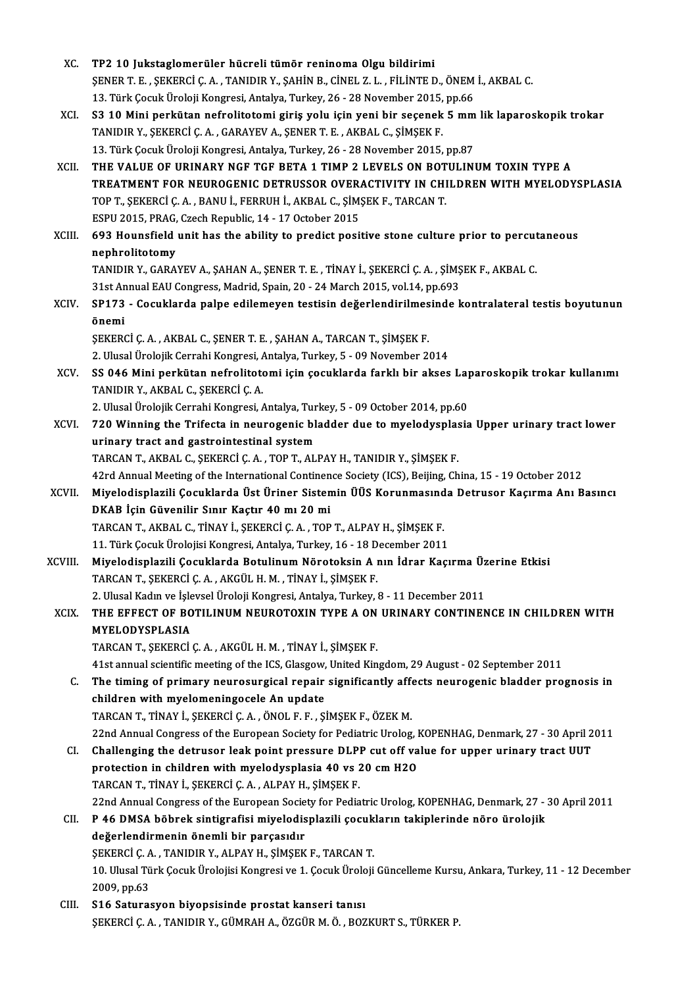| XC.          | TP2 10 Jukstaglomerüler hücreli tümör reninoma Olgu bildirimi                                                   |
|--------------|-----------------------------------------------------------------------------------------------------------------|
|              | ŞENER T. E. , ŞEKERCİ Ç. A. , TANIDIR Y., ŞAHİN B., CİNEL Z. L. , FİLİNTE D., ÖNEM İ., AKBAL C.                 |
|              | 13. Türk Çocuk Üroloji Kongresi, Antalya, Turkey, 26 - 28 November 2015, pp.66                                  |
| XCI.         | S3 10 Mini perkütan nefrolitotomi giriş yolu için yeni bir seçenek 5 mm lik laparoskopik trokar                 |
|              | TANIDIR Y., ŞEKERCİ Ç. A., GARAYEV A., ŞENER T. E., AKBAL C., ŞİMŞEK F.                                         |
|              | 13. Türk Çocuk Üroloji Kongresi, Antalya, Turkey, 26 - 28 November 2015, pp.87                                  |
| XCII.        | THE VALUE OF URINARY NGF TGF BETA 1 TIMP 2 LEVELS ON BOTULINUM TOXIN TYPE A                                     |
|              | TREATMENT FOR NEUROGENIC DETRUSSOR OVERACTIVITY IN CHILDREN WITH MYELODYSPLASIA                                 |
|              | TOP T., ŞEKERCİ Ç. A., BANU İ., FERRUH İ., AKBAL C., ŞİMŞEK F., TARCAN T.                                       |
|              | ESPU 2015, PRAG, Czech Republic, 14 - 17 October 2015                                                           |
| <b>XCIII</b> | 693 Hounsfield unit has the ability to predict positive stone culture prior to percutaneous                     |
|              | nephrolitotomy                                                                                                  |
|              | TANIDIR Y., GARAYEV A., ŞAHAN A., ŞENER T. E., TİNAY İ., ŞEKERCİ Ç. A., ŞİMŞEK F., AKBAL C.                     |
|              | 31st Annual EAU Congress, Madrid, Spain, 20 - 24 March 2015, vol.14, pp.693                                     |
| XCIV.        | SP173 - Cocuklarda palpe edilemeyen testisin değerlendirilmesinde kontralateral testis boyutunun                |
|              | önemi                                                                                                           |
|              | ŞEKERCİ Ç. A., AKBAL C., ŞENER T. E., ŞAHAN A., TARCAN T., ŞİMŞEK F.                                            |
|              | 2. Ulusal Ürolojik Cerrahi Kongresi, Antalya, Turkey, 5 - 09 November 2014                                      |
| XCV.         | SS 046 Mini perkütan nefrolitotomi için çocuklarda farklı bir akses Laparoskopik trokar kullanımı               |
|              | TANIDIR Y., AKBAL C., ŞEKERCİ Ç. A.                                                                             |
|              | 2. Ulusal Ürolojik Cerrahi Kongresi, Antalya, Turkey, 5 - 09 October 2014, pp.60                                |
| XCVI.        | 720 Winning the Trifecta in neurogenic bladder due to myelodysplasia Upper urinary tract lower                  |
|              | urinary tract and gastrointestinal system                                                                       |
|              | TARCAN T., AKBAL C., ŞEKERCİ Ç. A., TOP T., ALPAY H., TANIDIR Y., ŞİMŞEK F.                                     |
|              | 42rd Annual Meeting of the International Continence Society (ICS), Beijing, China, 15 - 19 October 2012         |
| XCVII.       | Miyelodisplazili Çocuklarda Üst Üriner Sistemin ÜÜS Korunmasında Detrusor Kaçırma Anı Basıncı                   |
|              | DKAB İçin Güvenilir Sınır Kaçtır 40 mı 20 mi                                                                    |
|              | TARCAN T., AKBAL C., TİNAY İ., ŞEKERCİ Ç. A., TOP T., ALPAY H., ŞİMŞEK F.                                       |
|              | 11. Türk Çocuk Ürolojisi Kongresi, Antalya, Turkey, 16 - 18 December 2011                                       |
| XCVIII.      | Miyelodisplazili Çocuklarda Botulinum Nörotoksin A nın İdrar Kaçırma Üzerine Etkisi                             |
|              | TARCAN T., ŞEKERCİ Ç. A., AKGÜL H. M., TİNAY İ., ŞİMŞEK F.                                                      |
|              | 2. Ulusal Kadın ve İşlevsel Üroloji Kongresi, Antalya, Turkey, 8 - 11 December 2011                             |
| <b>XCIX</b>  | THE EFFECT OF BOTILINUM NEUROTOXIN TYPE A ON URINARY CONTINENCE IN CHILDREN WITH                                |
|              | MYELODYSPLASIA                                                                                                  |
|              | TARCAN T., ŞEKERCİ Ç. A., AKGÜL H. M., TİNAY İ., ŞİMŞEK F.                                                      |
|              | 41st annual scientific meeting of the ICS, Glasgow, United Kingdom, 29 August - 02 September 2011               |
| C.           | The timing of primary neurosurgical repair significantly affects neurogenic bladder prognosis in                |
|              | children with myelomeningocele An update                                                                        |
|              | TARCAN T., TİNAY İ., ŞEKERCİ Ç. A., ÖNOL F. F., ŞİMŞEK F., ÖZEK M.                                              |
|              | 22nd Annual Congress of the European Society for Pediatric Urolog, KOPENHAG, Denmark, 27 - 30 April 2011        |
| CI.          | Challenging the detrusor leak point pressure DLPP cut off value for upper urinary tract UUT                     |
|              | protection in children with myelodysplasia 40 vs 20 cm H2O                                                      |
|              | TARCAN T., TİNAY İ., ŞEKERCİ Ç. A., ALPAY H., ŞİMŞEK F.                                                         |
|              | 22nd Annual Congress of the European Society for Pediatric Urolog, KOPENHAG, Denmark, 27 - 30 April 2011        |
| CII.         | P 46 DMSA böbrek sintigrafisi miyelodisplazili çocukların takiplerinde nöro ürolojik                            |
|              | değerlendirmenin önemli bir parçasıdır                                                                          |
|              | ŞEKERCİ Ç. A., TANIDIR Y., ALPAY H., ŞİMŞEK F., TARCAN T.                                                       |
|              | 10. Ulusal Türk Çocuk Ürolojisi Kongresi ve 1. Çocuk Üroloji Güncelleme Kursu, Ankara, Turkey, 11 - 12 December |
|              | 2009, pp.63                                                                                                     |
| CIII.        | S16 Saturasyon biyopsisinde prostat kanseri tanısı                                                              |
|              | ŞEKERCİ Ç. A., TANIDIR Y., GÜMRAH A., ÖZGÜR M. Ö., BOZKURT S., TÜRKER P.                                        |